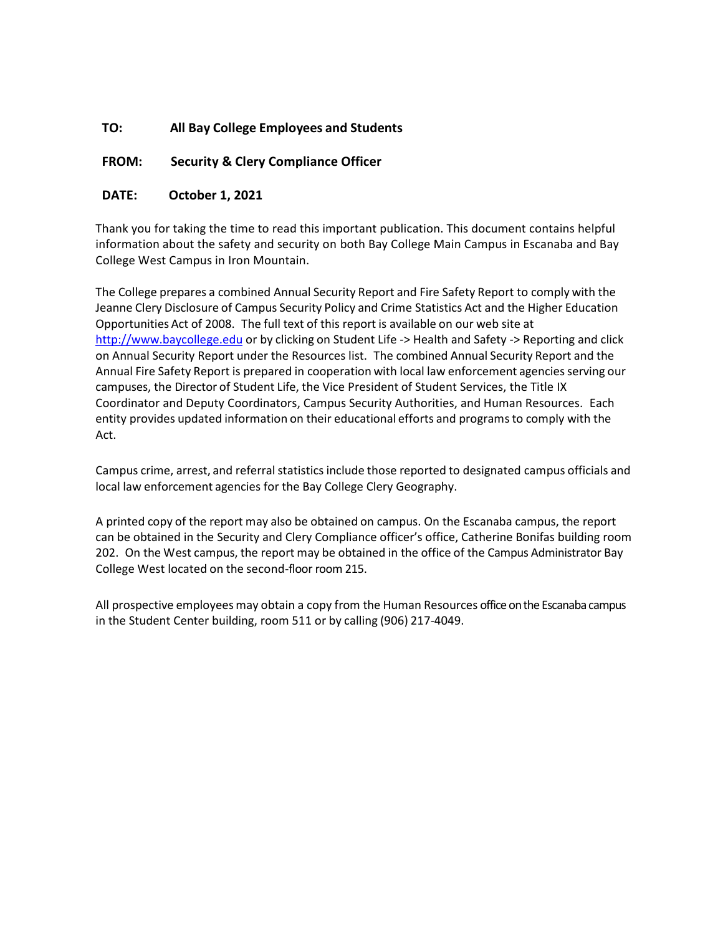### **TO: All Bay College Employees and Students**

#### **FROM: Security & Clery Compliance Officer**

#### **DATE: October 1, 2021**

Thank you for taking the time to read this important publication. This document contains helpful information about the safety and security on both Bay College Main Campus in Escanaba and Bay College West Campus in Iron Mountain.

The College prepares a combined Annual Security Report and Fire Safety Report to comply with the Jeanne Clery Disclosure of Campus Security Policy and Crime Statistics Act and the Higher Education Opportunities Act of 2008. The full text of this report is available on our web site at [http://www.baycollege.edu](https://www.baycollege.edu/_resources/pdf/student-life/health-safety/campus-safety/annual-security-report.pdf) or by clicking on Student Life -> Health and Safety -> Reporting and click on Annual Security Report under the Resources list. The combined Annual Security Report and the Annual Fire Safety Report is prepared in cooperation with local law enforcement agencies serving our campuses, the Director of Student Life, the Vice President of Student Services, the Title IX Coordinator and Deputy Coordinators, Campus Security Authorities, and Human Resources. Each entity provides updated information on their educational efforts and programsto comply with the Act.

Campus crime, arrest, and referral statistics include those reported to designated campus officials and local law enforcement agencies for the Bay College Clery Geography.

A printed copy of the report may also be obtained on campus. On the Escanaba campus, the report can be obtained in the Security and Clery Compliance officer's office, Catherine Bonifas building room 202. On the West campus, the report may be obtained in the office of the Campus Administrator Bay College West located on the second-floor room 215.

All prospective employees may obtain a copy from the Human Resources office on the Escanaba campus in the Student Center building, room 511 or by calling (906) 217-4049.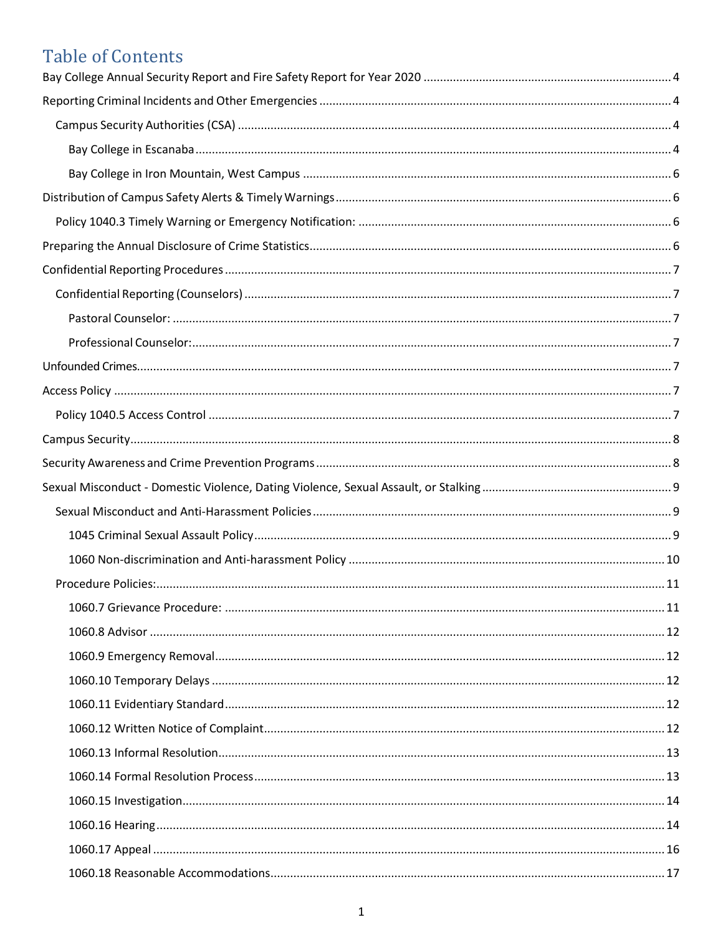## **Table of Contents**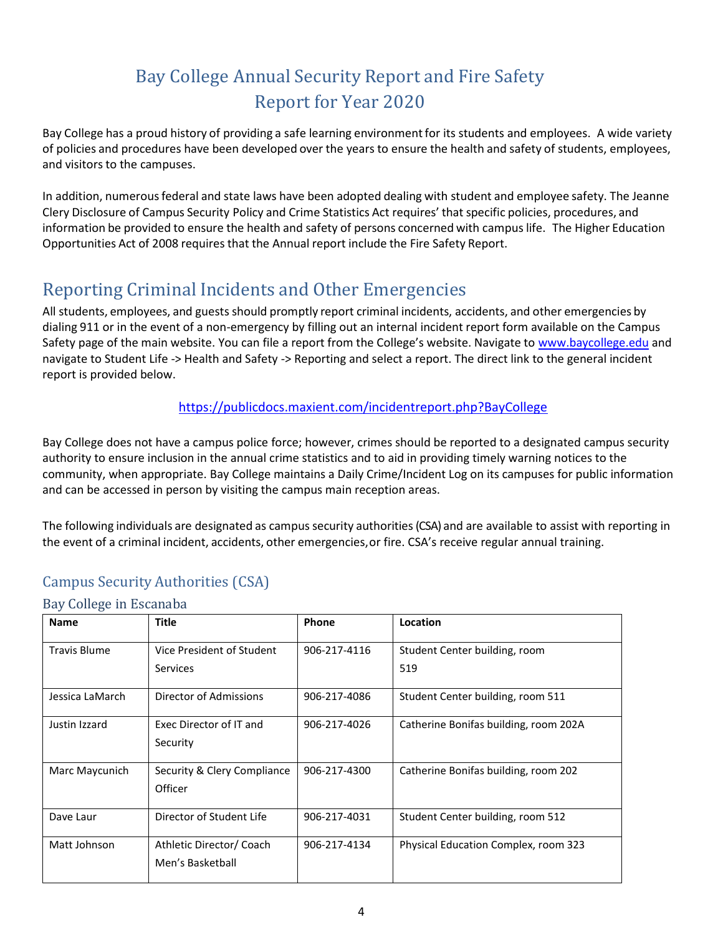## Bay College Annual Security Report and Fire Safety Report for Year 2020

<span id="page-4-0"></span>Bay College has a proud history of providing a safe learning environment for its students and employees. A wide variety of policies and procedures have been developed over the years to ensure the health and safety of students, employees, and visitors to the campuses.

In addition, numerousfederal and state laws have been adopted dealing with student and employee safety. The Jeanne Clery Disclosure of Campus Security Policy and Crime Statistics Act requires' that specific policies, procedures, and information be provided to ensure the health and safety of persons concerned with campus life. The Higher Education Opportunities Act of 2008 requires that the Annual report include the Fire Safety Report.

## <span id="page-4-1"></span>Reporting Criminal Incidents and Other Emergencies

All students, employees, and guests should promptly report criminal incidents, accidents, and other emergencies by dialing 911 or in the event of a non-emergency by filling out an internal incident report form available on the Campus Safety page of the main website. You can file a report from the College's website. Navigate to [www.baycollege.edu](http://www.baycollege.edu/) and navigate to Student Life -> Health and Safety -> Reporting and select a report. The direct link to the general incident report is provided below.

<https://publicdocs.maxient.com/incidentreport.php?BayCollege>

Bay College does not have a campus police force; however, crimes should be reported to a designated campus security authority to ensure inclusion in the annual crime statistics and to aid in providing timely warning notices to the community, when appropriate. Bay College maintains a Daily Crime/Incident Log on its campuses for public information and can be accessed in person by visiting the campus main reception areas.

The following individuals are designated as campus security authorities (CSA) and are available to assist with reporting in the event of a criminal incident, accidents, other emergencies, or fire. CSA's receive regular annual training.

## <span id="page-4-2"></span>Campus Security Authorities (CSA)

#### <span id="page-4-3"></span>Bay College in Escanaba

| <b>Name</b>         | <b>Title</b>                | Phone        | Location                              |
|---------------------|-----------------------------|--------------|---------------------------------------|
| <b>Travis Blume</b> | Vice President of Student   | 906-217-4116 | Student Center building, room         |
|                     | <b>Services</b>             |              | 519                                   |
| Jessica LaMarch     | Director of Admissions      | 906-217-4086 | Student Center building, room 511     |
| Justin Izzard       | Exec Director of IT and     | 906-217-4026 | Catherine Bonifas building, room 202A |
|                     | Security                    |              |                                       |
| Marc Maycunich      | Security & Clery Compliance | 906-217-4300 | Catherine Bonifas building, room 202  |
|                     | Officer                     |              |                                       |
| Dave Laur           | Director of Student Life    | 906-217-4031 | Student Center building, room 512     |
| Matt Johnson        | Athletic Director/ Coach    | 906-217-4134 | Physical Education Complex, room 323  |
|                     | Men's Basketball            |              |                                       |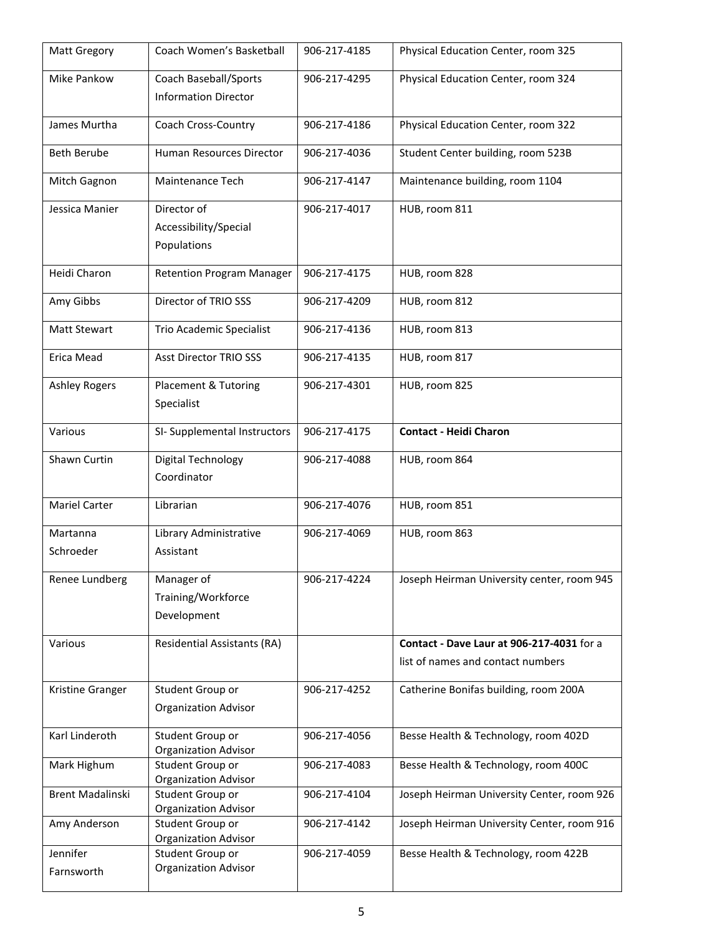| <b>Matt Gregory</b>     | Coach Women's Basketball                             | 906-217-4185 | Physical Education Center, room 325                                            |
|-------------------------|------------------------------------------------------|--------------|--------------------------------------------------------------------------------|
| Mike Pankow             | Coach Baseball/Sports<br><b>Information Director</b> | 906-217-4295 | Physical Education Center, room 324                                            |
| James Murtha            | Coach Cross-Country                                  | 906-217-4186 | Physical Education Center, room 322                                            |
| <b>Beth Berube</b>      | Human Resources Director                             | 906-217-4036 | Student Center building, room 523B                                             |
| Mitch Gagnon            | Maintenance Tech                                     | 906-217-4147 | Maintenance building, room 1104                                                |
| Jessica Manier          | Director of<br>Accessibility/Special<br>Populations  | 906-217-4017 | HUB, room 811                                                                  |
| Heidi Charon            | <b>Retention Program Manager</b>                     | 906-217-4175 | HUB, room 828                                                                  |
| Amy Gibbs               | Director of TRIO SSS                                 | 906-217-4209 | HUB, room 812                                                                  |
| <b>Matt Stewart</b>     | Trio Academic Specialist                             | 906-217-4136 | HUB, room 813                                                                  |
| Erica Mead              | <b>Asst Director TRIO SSS</b>                        | 906-217-4135 | HUB, room 817                                                                  |
| <b>Ashley Rogers</b>    | Placement & Tutoring<br>Specialist                   | 906-217-4301 | HUB, room 825                                                                  |
| Various                 | SI- Supplemental Instructors                         | 906-217-4175 | <b>Contact - Heidi Charon</b>                                                  |
| Shawn Curtin            | Digital Technology<br>Coordinator                    | 906-217-4088 | HUB, room 864                                                                  |
| Mariel Carter           | Librarian                                            | 906-217-4076 | HUB, room 851                                                                  |
| Martanna<br>Schroeder   | Library Administrative<br>Assistant                  | 906-217-4069 | HUB, room 863                                                                  |
| Renee Lundberg          | Manager of<br>Training/Workforce<br>Development      | 906-217-4224 | Joseph Heirman University center, room 945                                     |
| Various                 | <b>Residential Assistants (RA)</b>                   |              | Contact - Dave Laur at 906-217-4031 for a<br>list of names and contact numbers |
| Kristine Granger        | Student Group or<br><b>Organization Advisor</b>      | 906-217-4252 | Catherine Bonifas building, room 200A                                          |
| Karl Linderoth          | Student Group or<br><b>Organization Advisor</b>      | 906-217-4056 | Besse Health & Technology, room 402D                                           |
| Mark Highum             | Student Group or<br><b>Organization Advisor</b>      | 906-217-4083 | Besse Health & Technology, room 400C                                           |
| <b>Brent Madalinski</b> | Student Group or<br><b>Organization Advisor</b>      | 906-217-4104 | Joseph Heirman University Center, room 926                                     |
| Amy Anderson            | Student Group or<br><b>Organization Advisor</b>      | 906-217-4142 | Joseph Heirman University Center, room 916                                     |
| Jennifer<br>Farnsworth  | Student Group or<br><b>Organization Advisor</b>      | 906-217-4059 | Besse Health & Technology, room 422B                                           |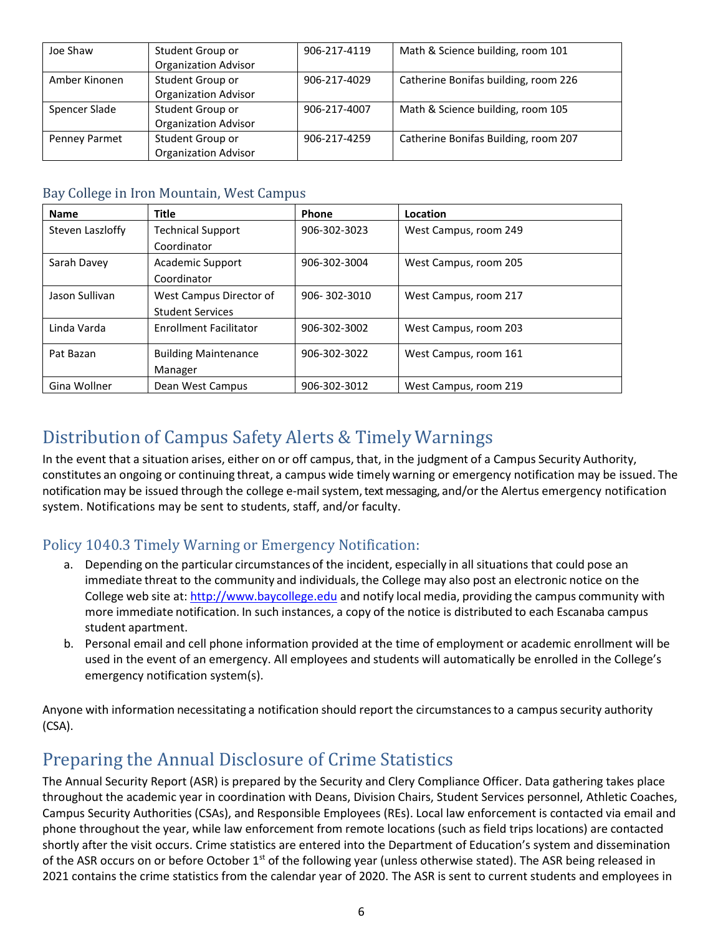| Joe Shaw      | Student Group or            | 906-217-4119 | Math & Science building, room 101    |
|---------------|-----------------------------|--------------|--------------------------------------|
|               | <b>Organization Advisor</b> |              |                                      |
| Amber Kinonen | Student Group or            | 906-217-4029 | Catherine Bonifas building, room 226 |
|               | <b>Organization Advisor</b> |              |                                      |
| Spencer Slade | Student Group or            | 906-217-4007 | Math & Science building, room 105    |
|               | <b>Organization Advisor</b> |              |                                      |
| Penney Parmet | Student Group or            | 906-217-4259 | Catherine Bonifas Building, room 207 |
|               | <b>Organization Advisor</b> |              |                                      |

#### <span id="page-6-0"></span>Bay College in Iron Mountain, West Campus

| <b>Name</b>      | <b>Title</b>                  | Phone        | Location              |
|------------------|-------------------------------|--------------|-----------------------|
| Steven Laszloffy | <b>Technical Support</b>      | 906-302-3023 | West Campus, room 249 |
|                  | Coordinator                   |              |                       |
| Sarah Davey      | <b>Academic Support</b>       | 906-302-3004 | West Campus, room 205 |
|                  | Coordinator                   |              |                       |
| Jason Sullivan   | West Campus Director of       | 906-302-3010 | West Campus, room 217 |
|                  | <b>Student Services</b>       |              |                       |
| Linda Varda      | <b>Enrollment Facilitator</b> | 906-302-3002 | West Campus, room 203 |
| Pat Bazan        | <b>Building Maintenance</b>   | 906-302-3022 | West Campus, room 161 |
|                  | Manager                       |              |                       |
| Gina Wollner     | Dean West Campus              | 906-302-3012 | West Campus, room 219 |

## <span id="page-6-1"></span>Distribution of Campus Safety Alerts & Timely Warnings

In the event that a situation arises, either on or off campus, that, in the judgment of a Campus Security Authority, constitutes an ongoing or continuing threat, a campus wide timely warning or emergency notification may be issued. The notification may be issued through the college e-mail system, text messaging, and/or the Alertus emergency notification system. Notifications may be sent to students, staff, and/or faculty.

### <span id="page-6-2"></span>Policy 1040.3 Timely Warning or Emergency Notification:

- a. Depending on the particular circumstances of the incident, especially in all situations that could pose an immediate threat to the community and individuals, the College may also post an electronic notice on the College web site at: [http://www.baycollege.edu](http://www.baycollege.edu/) and notify local media, providing the campus community with more immediate notification. In such instances, a copy of the notice is distributed to each Escanaba campus student apartment.
- b. Personal email and cell phone information provided at the time of employment or academic enrollment will be used in the event of an emergency. All employees and students will automatically be enrolled in the College's emergency notification system(s).

Anyone with information necessitating a notification should report the circumstances to a campus security authority (CSA).

## <span id="page-6-3"></span>Preparing the Annual Disclosure of Crime Statistics

The Annual Security Report (ASR) is prepared by the Security and Clery Compliance Officer. Data gathering takes place throughout the academic year in coordination with Deans, Division Chairs, Student Services personnel, Athletic Coaches, Campus Security Authorities (CSAs), and Responsible Employees (REs). Local law enforcement is contacted via email and phone throughout the year, while law enforcement from remote locations (such as field trips locations) are contacted shortly after the visit occurs. Crime statistics are entered into the Department of Education's system and dissemination of the ASR occurs on or before October  $1<sup>st</sup>$  of the following year (unless otherwise stated). The ASR being released in 2021 contains the crime statistics from the calendar year of 2020. The ASR is sent to current students and employees in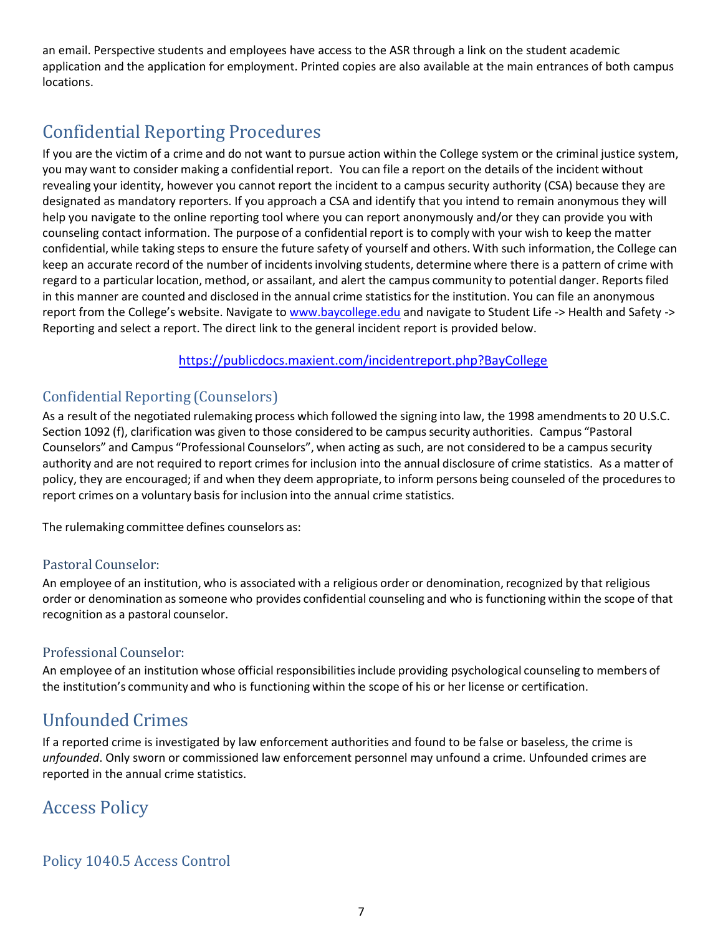an email. Perspective students and employees have access to the ASR through a link on the student academic application and the application for employment. Printed copies are also available at the main entrances of both campus locations.

## <span id="page-7-0"></span>Confidential Reporting Procedures

If you are the victim of a crime and do not want to pursue action within the College system or the criminal justice system, you may want to consider making a confidential report. You can file a report on the details of the incident without revealing your identity, however you cannot report the incident to a campus security authority (CSA) because they are designated as mandatory reporters. If you approach a CSA and identify that you intend to remain anonymous they will help you navigate to the online reporting tool where you can report anonymously and/or they can provide you with counseling contact information. The purpose of a confidential report is to comply with your wish to keep the matter confidential, while taking steps to ensure the future safety of yourself and others. With such information, the College can keep an accurate record of the number of incidents involving students, determine where there is a pattern of crime with regard to a particular location, method, or assailant, and alert the campus community to potential danger. Reportsfiled in this manner are counted and disclosed in the annual crime statistics for the institution. You can file an anonymous report from the College's website. Navigate to [www.baycollege.edu](http://www.baycollege.edu/) and navigate to Student Life -> Health and Safety -> Reporting and select a report. The direct link to the general incident report is provided below.

<https://publicdocs.maxient.com/incidentreport.php?BayCollege>

### <span id="page-7-1"></span>Confidential Reporting (Counselors)

As a result of the negotiated rulemaking process which followed the signing into law, the 1998 amendments to 20 U.S.C. Section 1092 (f), clarification was given to those considered to be campus security authorities. Campus "Pastoral Counselors" and Campus "Professional Counselors", when acting as such, are not considered to be a campus security authority and are not required to report crimes for inclusion into the annual disclosure of crime statistics. As a matter of policy, they are encouraged; if and when they deem appropriate, to inform persons being counseled of the procedures to report crimes on a voluntary basis for inclusion into the annual crime statistics.

The rulemaking committee defines counselors as:

### <span id="page-7-2"></span>Pastoral Counselor:

An employee of an institution, who is associated with a religious order or denomination,recognized by that religious order or denomination as someone who provides confidential counseling and who is functioning within the scope of that recognition as a pastoral counselor.

### <span id="page-7-3"></span>Professional Counselor:

An employee of an institution whose official responsibilitiesinclude providing psychological counseling to members of the institution's community and who is functioning within the scope of his or her license or certification.

## <span id="page-7-4"></span>Unfounded Crimes

If a reported crime is investigated by law enforcement authorities and found to be false or baseless, the crime is *unfounded*. Only sworn or commissioned law enforcement personnel may unfound a crime. Unfounded crimes are reported in the annual crime statistics.

## <span id="page-7-5"></span>Access Policy

### <span id="page-7-6"></span>Policy 1040.5 Access Control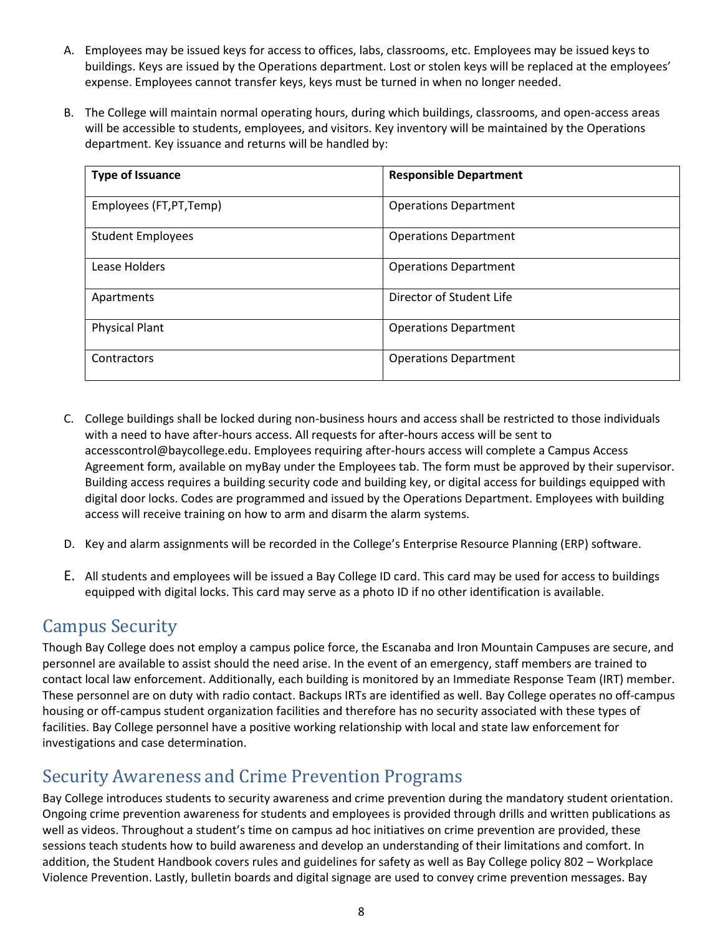- A. Employees may be issued keys for access to offices, labs, classrooms, etc. Employees may be issued keys to buildings. Keys are issued by the Operations department. Lost or stolen keys will be replaced at the employees' expense. Employees cannot transfer keys, keys must be turned in when no longer needed.
- B. The College will maintain normal operating hours, during which buildings, classrooms, and open-access areas will be accessible to students, employees, and visitors. Key inventory will be maintained by the Operations department. Key issuance and returns will be handled by:

| <b>Type of Issuance</b>  | <b>Responsible Department</b> |
|--------------------------|-------------------------------|
| Employees (FT, PT, Temp) | <b>Operations Department</b>  |
| <b>Student Employees</b> | <b>Operations Department</b>  |
| Lease Holders            | <b>Operations Department</b>  |
| Apartments               | Director of Student Life      |
| <b>Physical Plant</b>    | <b>Operations Department</b>  |
| Contractors              | <b>Operations Department</b>  |

- C. College buildings shall be locked during non-business hours and access shall be restricted to those individuals with a need to have after-hours access. All requests for after-hours access will be sent to accesscontrol@baycollege.edu. Employees requiring after-hours access will complete a Campus Access Agreement form, available on myBay under the Employees tab. The form must be approved by their supervisor. Building access requires a building security code and building key, or digital access for buildings equipped with digital door locks. Codes are programmed and issued by the Operations Department. Employees with building access will receive training on how to arm and disarm the alarm systems.
- D. Key and alarm assignments will be recorded in the College's Enterprise Resource Planning (ERP) software.
- E. All students and employees will be issued a Bay College ID card. This card may be used for access to buildings equipped with digital locks. This card may serve as a photo ID if no other identification is available.

## <span id="page-8-0"></span>Campus Security

Though Bay College does not employ a campus police force, the Escanaba and Iron Mountain Campuses are secure, and personnel are available to assist should the need arise. In the event of an emergency, staff members are trained to contact local law enforcement. Additionally, each building is monitored by an Immediate Response Team (IRT) member. These personnel are on duty with radio contact. Backups IRTs are identified as well. Bay College operates no off-campus housing or off-campus student organization facilities and therefore has no security associated with these types of facilities. Bay College personnel have a positive working relationship with local and state law enforcement for investigations and case determination.

## <span id="page-8-1"></span>Security Awareness and Crime Prevention Programs

Bay College introduces students to security awareness and crime prevention during the mandatory student orientation. Ongoing crime prevention awareness for students and employees is provided through drills and written publications as well as videos. Throughout a student's time on campus ad hoc initiatives on crime prevention are provided, these sessions teach students how to build awareness and develop an understanding of their limitations and comfort. In addition, the Student Handbook covers rules and guidelines for safety as well as Bay College policy 802 – Workplace Violence Prevention. Lastly, bulletin boards and digital signage are used to convey crime prevention messages. Bay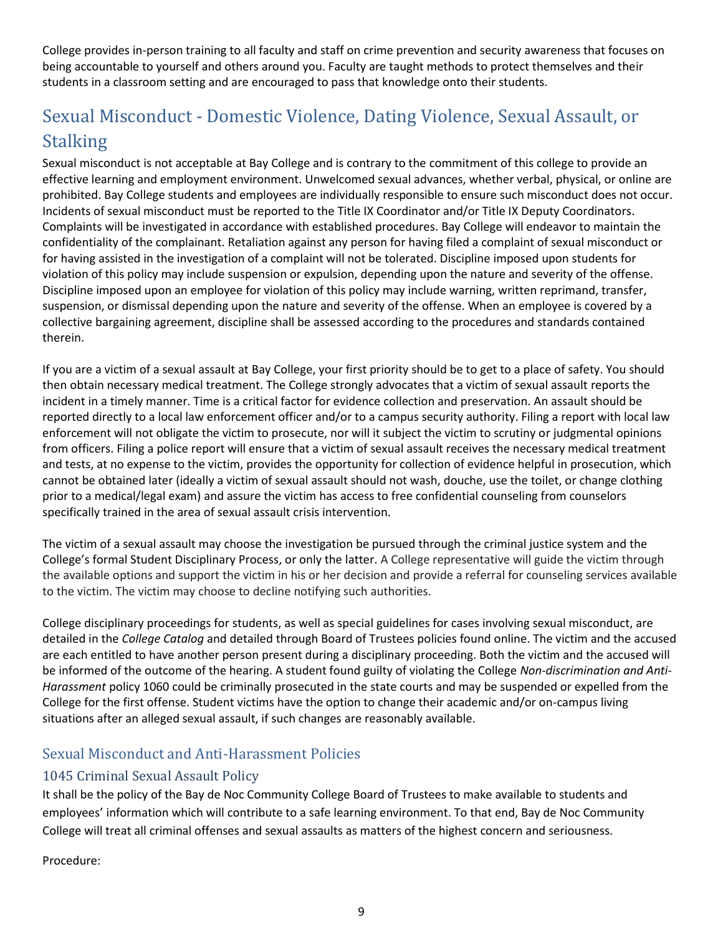College provides in-person training to all faculty and staff on crime prevention and security awareness that focuses on being accountable to yourself and others around you. Faculty are taught methods to protect themselves and their students in a classroom setting and are encouraged to pass that knowledge onto their students.

## <span id="page-9-0"></span>Sexual Misconduct - Domestic Violence, Dating Violence, Sexual Assault, or Stalking

Sexual misconduct is not acceptable at Bay College and is contrary to the commitment of this college to provide an effective learning and employment environment. Unwelcomed sexual advances, whether verbal, physical, or online are prohibited. Bay College students and employees are individually responsible to ensure such misconduct does not occur. Incidents of sexual misconduct must be reported to the Title IX Coordinator and/or Title IX Deputy Coordinators. Complaints will be investigated in accordance with established procedures. Bay College will endeavor to maintain the confidentiality of the complainant. Retaliation against any person for having filed a complaint of sexual misconduct or for having assisted in the investigation of a complaint will not be tolerated. Discipline imposed upon students for violation of this policy may include suspension or expulsion, depending upon the nature and severity of the offense. Discipline imposed upon an employee for violation of this policy may include warning, written reprimand, transfer, suspension, or dismissal depending upon the nature and severity of the offense. When an employee is covered by a collective bargaining agreement, discipline shall be assessed according to the procedures and standards contained therein.

If you are a victim of a sexual assault at Bay College, your first priority should be to get to a place of safety. You should then obtain necessary medical treatment. The College strongly advocates that a victim of sexual assault reports the incident in a timely manner. Time is a critical factor for evidence collection and preservation. An assault should be reported directly to a local law enforcement officer and/or to a campus security authority. Filing a report with local law enforcement will not obligate the victim to prosecute, nor will it subject the victim to scrutiny or judgmental opinions from officers. Filing a police report will ensure that a victim of sexual assault receives the necessary medical treatment and tests, at no expense to the victim, provides the opportunity for collection of evidence helpful in prosecution, which cannot be obtained later (ideally a victim of sexual assault should not wash, douche, use the toilet, or change clothing prior to a medical/legal exam) and assure the victim has access to free confidential counseling from counselors specifically trained in the area of sexual assault crisis intervention.

The victim of a sexual assault may choose the investigation be pursued through the criminal justice system and the College's formal Student Disciplinary Process, or only the latter. A College representative will guide the victim through the available options and support the victim in his or her decision and provide a referral for counseling services available to the victim. The victim may choose to decline notifying such authorities.

College disciplinary proceedings for students, as well as special guidelines for cases involving sexual misconduct, are detailed in the *College Catalog* and detailed through Board of Trustees policies found online. The victim and the accused are each entitled to have another person present during a disciplinary proceeding. Both the victim and the accused will be informed of the outcome of the hearing. A student found guilty of violating the College *Non-discrimination and Anti-Harassment* policy 1060 could be criminally prosecuted in the state courts and may be suspended or expelled from the College for the first offense. Student victims have the option to change their academic and/or on-campus living situations after an alleged sexual assault, if such changes are reasonably available.

### <span id="page-9-1"></span>Sexual Misconduct and Anti-Harassment Policies

### <span id="page-9-2"></span>1045 Criminal Sexual Assault Policy

It shall be the policy of the Bay de Noc Community College Board of Trustees to make available to students and employees' information which will contribute to a safe learning environment. To that end, Bay de Noc Community College will treat all criminal offenses and sexual assaults as matters of the highest concern and seriousness.

Procedure: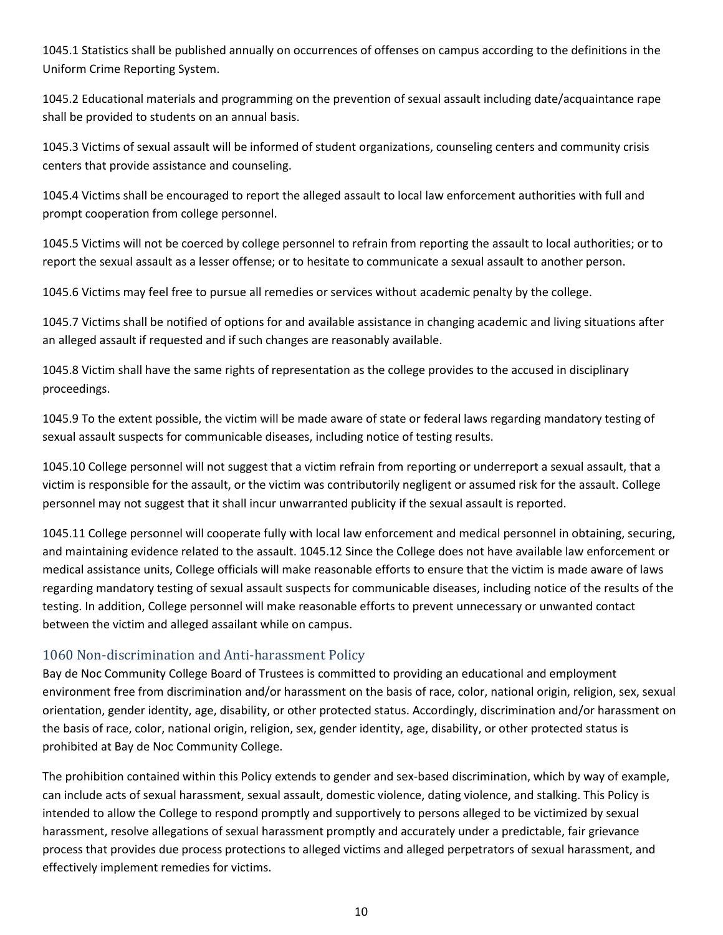1045.1 Statistics shall be published annually on occurrences of offenses on campus according to the definitions in the Uniform Crime Reporting System.

1045.2 Educational materials and programming on the prevention of sexual assault including date/acquaintance rape shall be provided to students on an annual basis.

1045.3 Victims of sexual assault will be informed of student organizations, counseling centers and community crisis centers that provide assistance and counseling.

1045.4 Victims shall be encouraged to report the alleged assault to local law enforcement authorities with full and prompt cooperation from college personnel.

1045.5 Victims will not be coerced by college personnel to refrain from reporting the assault to local authorities; or to report the sexual assault as a lesser offense; or to hesitate to communicate a sexual assault to another person.

1045.6 Victims may feel free to pursue all remedies or services without academic penalty by the college.

1045.7 Victims shall be notified of options for and available assistance in changing academic and living situations after an alleged assault if requested and if such changes are reasonably available.

1045.8 Victim shall have the same rights of representation as the college provides to the accused in disciplinary proceedings.

1045.9 To the extent possible, the victim will be made aware of state or federal laws regarding mandatory testing of sexual assault suspects for communicable diseases, including notice of testing results.

1045.10 College personnel will not suggest that a victim refrain from reporting or underreport a sexual assault, that a victim is responsible for the assault, or the victim was contributorily negligent or assumed risk for the assault. College personnel may not suggest that it shall incur unwarranted publicity if the sexual assault is reported.

1045.11 College personnel will cooperate fully with local law enforcement and medical personnel in obtaining, securing, and maintaining evidence related to the assault. 1045.12 Since the College does not have available law enforcement or medical assistance units, College officials will make reasonable efforts to ensure that the victim is made aware of laws regarding mandatory testing of sexual assault suspects for communicable diseases, including notice of the results of the testing. In addition, College personnel will make reasonable efforts to prevent unnecessary or unwanted contact between the victim and alleged assailant while on campus.

### <span id="page-10-0"></span>1060 Non-discrimination and Anti-harassment Policy

Bay de Noc Community College Board of Trustees is committed to providing an educational and employment environment free from discrimination and/or harassment on the basis of race, color, national origin, religion, sex, sexual orientation, gender identity, age, disability, or other protected status. Accordingly, discrimination and/or harassment on the basis of race, color, national origin, religion, sex, gender identity, age, disability, or other protected status is prohibited at Bay de Noc Community College.

The prohibition contained within this Policy extends to gender and sex-based discrimination, which by way of example, can include acts of sexual harassment, sexual assault, domestic violence, dating violence, and stalking. This Policy is intended to allow the College to respond promptly and supportively to persons alleged to be victimized by sexual harassment, resolve allegations of sexual harassment promptly and accurately under a predictable, fair grievance process that provides due process protections to alleged victims and alleged perpetrators of sexual harassment, and effectively implement remedies for victims.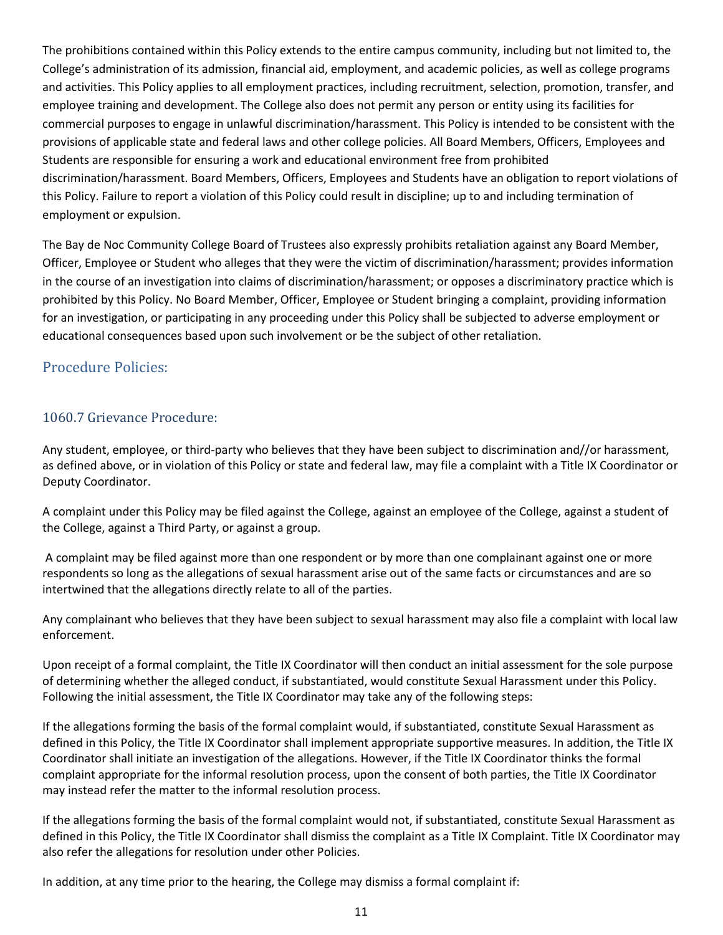The prohibitions contained within this Policy extends to the entire campus community, including but not limited to, the College's administration of its admission, financial aid, employment, and academic policies, as well as college programs and activities. This Policy applies to all employment practices, including recruitment, selection, promotion, transfer, and employee training and development. The College also does not permit any person or entity using its facilities for commercial purposes to engage in unlawful discrimination/harassment. This Policy is intended to be consistent with the provisions of applicable state and federal laws and other college policies. All Board Members, Officers, Employees and Students are responsible for ensuring a work and educational environment free from prohibited discrimination/harassment. Board Members, Officers, Employees and Students have an obligation to report violations of this Policy. Failure to report a violation of this Policy could result in discipline; up to and including termination of employment or expulsion.

The Bay de Noc Community College Board of Trustees also expressly prohibits retaliation against any Board Member, Officer, Employee or Student who alleges that they were the victim of discrimination/harassment; provides information in the course of an investigation into claims of discrimination/harassment; or opposes a discriminatory practice which is prohibited by this Policy. No Board Member, Officer, Employee or Student bringing a complaint, providing information for an investigation, or participating in any proceeding under this Policy shall be subjected to adverse employment or educational consequences based upon such involvement or be the subject of other retaliation.

### <span id="page-11-0"></span>Procedure Policies:

### <span id="page-11-1"></span>1060.7 Grievance Procedure:

Any student, employee, or third-party who believes that they have been subject to discrimination and//or harassment, as defined above, or in violation of this Policy or state and federal law, may file a complaint with a Title IX Coordinator or Deputy Coordinator.

A complaint under this Policy may be filed against the College, against an employee of the College, against a student of the College, against a Third Party, or against a group.

A complaint may be filed against more than one respondent or by more than one complainant against one or more respondents so long as the allegations of sexual harassment arise out of the same facts or circumstances and are so intertwined that the allegations directly relate to all of the parties.

Any complainant who believes that they have been subject to sexual harassment may also file a complaint with local law enforcement.

Upon receipt of a formal complaint, the Title IX Coordinator will then conduct an initial assessment for the sole purpose of determining whether the alleged conduct, if substantiated, would constitute Sexual Harassment under this Policy. Following the initial assessment, the Title IX Coordinator may take any of the following steps:

If the allegations forming the basis of the formal complaint would, if substantiated, constitute Sexual Harassment as defined in this Policy, the Title IX Coordinator shall implement appropriate supportive measures. In addition, the Title IX Coordinator shall initiate an investigation of the allegations. However, if the Title IX Coordinator thinks the formal complaint appropriate for the informal resolution process, upon the consent of both parties, the Title IX Coordinator may instead refer the matter to the informal resolution process.

If the allegations forming the basis of the formal complaint would not, if substantiated, constitute Sexual Harassment as defined in this Policy, the Title IX Coordinator shall dismiss the complaint as a Title IX Complaint. Title IX Coordinator may also refer the allegations for resolution under other Policies.

In addition, at any time prior to the hearing, the College may dismiss a formal complaint if: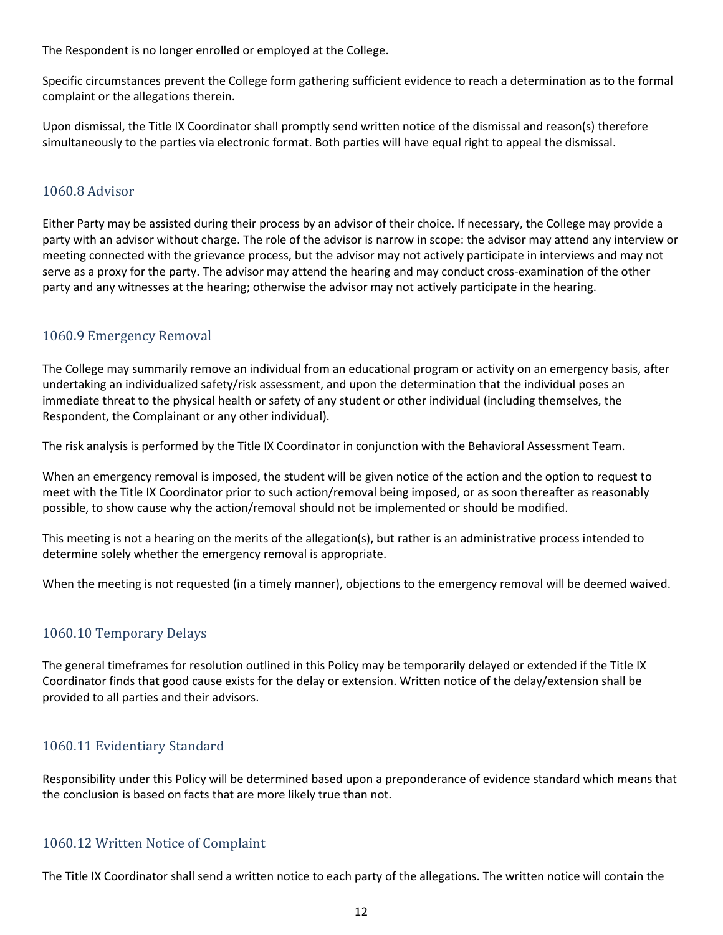The Respondent is no longer enrolled or employed at the College.

Specific circumstances prevent the College form gathering sufficient evidence to reach a determination as to the formal complaint or the allegations therein.

Upon dismissal, the Title IX Coordinator shall promptly send written notice of the dismissal and reason(s) therefore simultaneously to the parties via electronic format. Both parties will have equal right to appeal the dismissal.

#### <span id="page-12-0"></span>1060.8 Advisor

Either Party may be assisted during their process by an advisor of their choice. If necessary, the College may provide a party with an advisor without charge. The role of the advisor is narrow in scope: the advisor may attend any interview or meeting connected with the grievance process, but the advisor may not actively participate in interviews and may not serve as a proxy for the party. The advisor may attend the hearing and may conduct cross-examination of the other party and any witnesses at the hearing; otherwise the advisor may not actively participate in the hearing.

#### <span id="page-12-1"></span>1060.9 Emergency Removal

The College may summarily remove an individual from an educational program or activity on an emergency basis, after undertaking an individualized safety/risk assessment, and upon the determination that the individual poses an immediate threat to the physical health or safety of any student or other individual (including themselves, the Respondent, the Complainant or any other individual).

The risk analysis is performed by the Title IX Coordinator in conjunction with the Behavioral Assessment Team.

When an emergency removal is imposed, the student will be given notice of the action and the option to request to meet with the Title IX Coordinator prior to such action/removal being imposed, or as soon thereafter as reasonably possible, to show cause why the action/removal should not be implemented or should be modified.

This meeting is not a hearing on the merits of the allegation(s), but rather is an administrative process intended to determine solely whether the emergency removal is appropriate.

When the meeting is not requested (in a timely manner), objections to the emergency removal will be deemed waived.

#### <span id="page-12-2"></span>1060.10 Temporary Delays

The general timeframes for resolution outlined in this Policy may be temporarily delayed or extended if the Title IX Coordinator finds that good cause exists for the delay or extension. Written notice of the delay/extension shall be provided to all parties and their advisors.

#### <span id="page-12-3"></span>1060.11 Evidentiary Standard

Responsibility under this Policy will be determined based upon a preponderance of evidence standard which means that the conclusion is based on facts that are more likely true than not.

#### <span id="page-12-4"></span>1060.12 Written Notice of Complaint

The Title IX Coordinator shall send a written notice to each party of the allegations. The written notice will contain the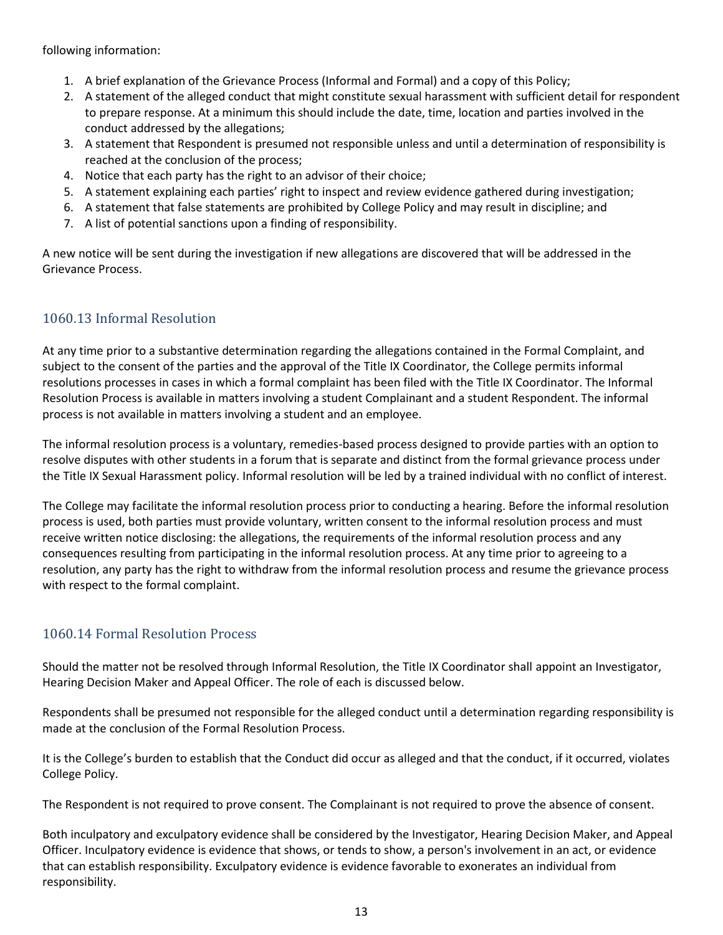following information:

- 1. A brief explanation of the Grievance Process (Informal and Formal) and a copy of this Policy;
- 2. A statement of the alleged conduct that might constitute sexual harassment with sufficient detail for respondent to prepare response. At a minimum this should include the date, time, location and parties involved in the conduct addressed by the allegations;
- 3. A statement that Respondent is presumed not responsible unless and until a determination of responsibility is reached at the conclusion of the process;
- 4. Notice that each party has the right to an advisor of their choice;
- 5. A statement explaining each parties' right to inspect and review evidence gathered during investigation;
- 6. A statement that false statements are prohibited by College Policy and may result in discipline; and
- 7. A list of potential sanctions upon a finding of responsibility.

A new notice will be sent during the investigation if new allegations are discovered that will be addressed in the Grievance Process.

### <span id="page-13-0"></span>1060.13 Informal Resolution

At any time prior to a substantive determination regarding the allegations contained in the Formal Complaint, and subject to the consent of the parties and the approval of the Title IX Coordinator, the College permits informal resolutions processes in cases in which a formal complaint has been filed with the Title IX Coordinator. The Informal Resolution Process is available in matters involving a student Complainant and a student Respondent. The informal process is not available in matters involving a student and an employee.

The informal resolution process is a voluntary, remedies-based process designed to provide parties with an option to resolve disputes with other students in a forum that is separate and distinct from the formal grievance process under the Title IX Sexual Harassment policy. Informal resolution will be led by a trained individual with no conflict of interest.

The College may facilitate the informal resolution process prior to conducting a hearing. Before the informal resolution process is used, both parties must provide voluntary, written consent to the informal resolution process and must receive written notice disclosing: the allegations, the requirements of the informal resolution process and any consequences resulting from participating in the informal resolution process. At any time prior to agreeing to a resolution, any party has the right to withdraw from the informal resolution process and resume the grievance process with respect to the formal complaint.

### <span id="page-13-1"></span>1060.14 Formal Resolution Process

Should the matter not be resolved through Informal Resolution, the Title IX Coordinator shall appoint an Investigator, Hearing Decision Maker and Appeal Officer. The role of each is discussed below.

Respondents shall be presumed not responsible for the alleged conduct until a determination regarding responsibility is made at the conclusion of the Formal Resolution Process.

It is the College's burden to establish that the Conduct did occur as alleged and that the conduct, if it occurred, violates College Policy.

The Respondent is not required to prove consent. The Complainant is not required to prove the absence of consent.

Both inculpatory and exculpatory evidence shall be considered by the Investigator, Hearing Decision Maker, and Appeal Officer. Inculpatory evidence is evidence that shows, or tends to show, a person's involvement in an act, or evidence that can establish responsibility. Exculpatory evidence is evidence favorable to exonerates an individual from responsibility.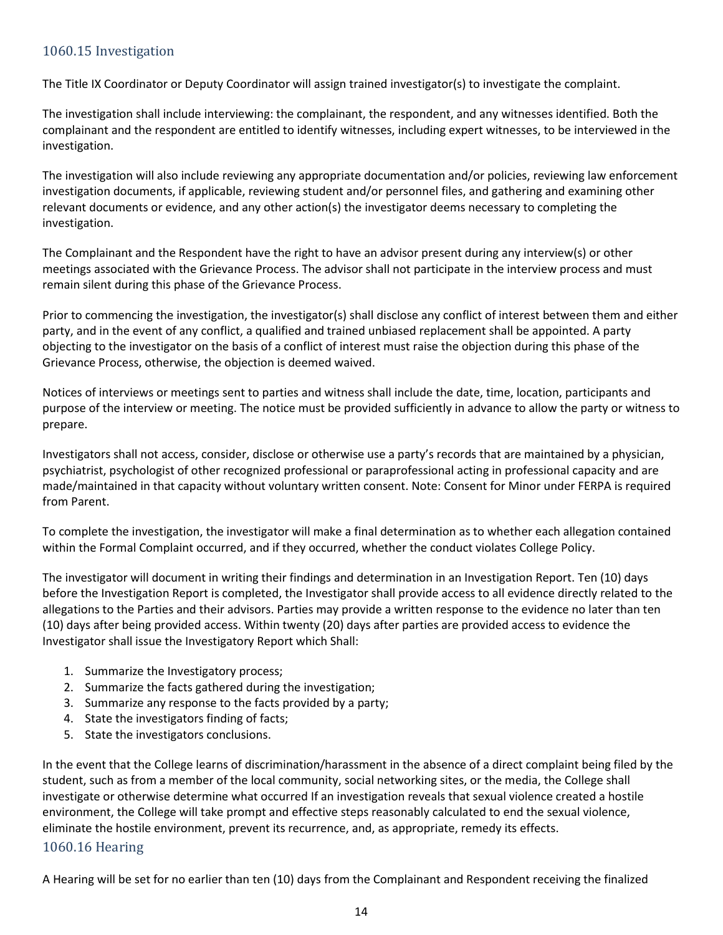### <span id="page-14-0"></span>1060.15 Investigation

The Title IX Coordinator or Deputy Coordinator will assign trained investigator(s) to investigate the complaint.

The investigation shall include interviewing: the complainant, the respondent, and any witnesses identified. Both the complainant and the respondent are entitled to identify witnesses, including expert witnesses, to be interviewed in the investigation.

The investigation will also include reviewing any appropriate documentation and/or policies, reviewing law enforcement investigation documents, if applicable, reviewing student and/or personnel files, and gathering and examining other relevant documents or evidence, and any other action(s) the investigator deems necessary to completing the investigation.

The Complainant and the Respondent have the right to have an advisor present during any interview(s) or other meetings associated with the Grievance Process. The advisor shall not participate in the interview process and must remain silent during this phase of the Grievance Process.

Prior to commencing the investigation, the investigator(s) shall disclose any conflict of interest between them and either party, and in the event of any conflict, a qualified and trained unbiased replacement shall be appointed. A party objecting to the investigator on the basis of a conflict of interest must raise the objection during this phase of the Grievance Process, otherwise, the objection is deemed waived.

Notices of interviews or meetings sent to parties and witness shall include the date, time, location, participants and purpose of the interview or meeting. The notice must be provided sufficiently in advance to allow the party or witness to prepare.

Investigators shall not access, consider, disclose or otherwise use a party's records that are maintained by a physician, psychiatrist, psychologist of other recognized professional or paraprofessional acting in professional capacity and are made/maintained in that capacity without voluntary written consent. Note: Consent for Minor under FERPA is required from Parent.

To complete the investigation, the investigator will make a final determination as to whether each allegation contained within the Formal Complaint occurred, and if they occurred, whether the conduct violates College Policy.

The investigator will document in writing their findings and determination in an Investigation Report. Ten (10) days before the Investigation Report is completed, the Investigator shall provide access to all evidence directly related to the allegations to the Parties and their advisors. Parties may provide a written response to the evidence no later than ten (10) days after being provided access. Within twenty (20) days after parties are provided access to evidence the Investigator shall issue the Investigatory Report which Shall:

- 1. Summarize the Investigatory process;
- 2. Summarize the facts gathered during the investigation;
- 3. Summarize any response to the facts provided by a party;
- 4. State the investigators finding of facts;
- 5. State the investigators conclusions.

In the event that the College learns of discrimination/harassment in the absence of a direct complaint being filed by the student, such as from a member of the local community, social networking sites, or the media, the College shall investigate or otherwise determine what occurred If an investigation reveals that sexual violence created a hostile environment, the College will take prompt and effective steps reasonably calculated to end the sexual violence, eliminate the hostile environment, prevent its recurrence, and, as appropriate, remedy its effects.

#### <span id="page-14-1"></span>1060.16 Hearing

A Hearing will be set for no earlier than ten (10) days from the Complainant and Respondent receiving the finalized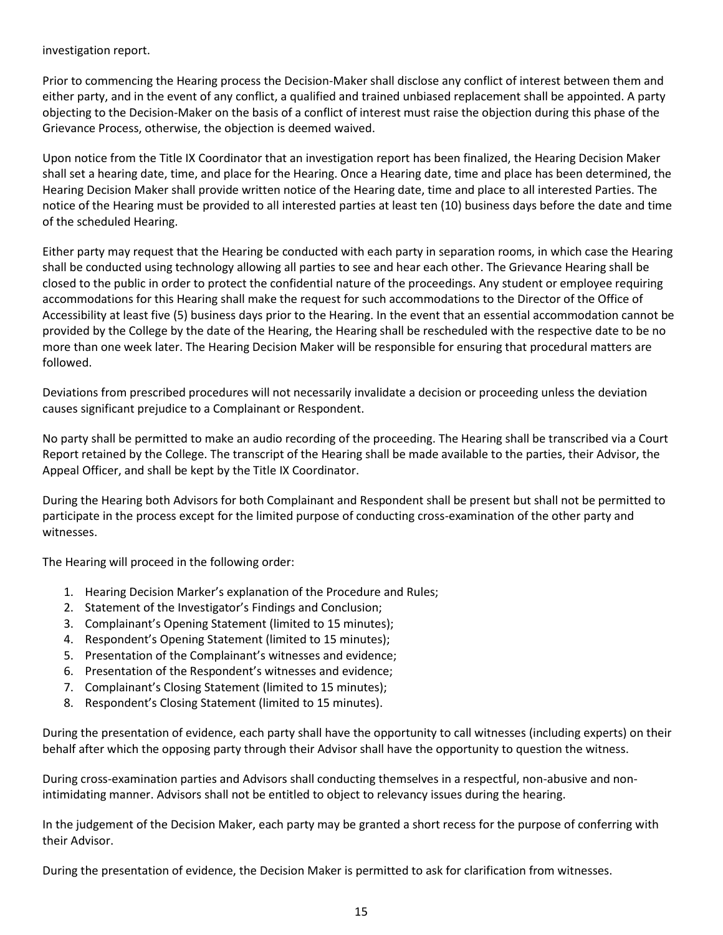investigation report.

Prior to commencing the Hearing process the Decision-Maker shall disclose any conflict of interest between them and either party, and in the event of any conflict, a qualified and trained unbiased replacement shall be appointed. A party objecting to the Decision-Maker on the basis of a conflict of interest must raise the objection during this phase of the Grievance Process, otherwise, the objection is deemed waived.

Upon notice from the Title IX Coordinator that an investigation report has been finalized, the Hearing Decision Maker shall set a hearing date, time, and place for the Hearing. Once a Hearing date, time and place has been determined, the Hearing Decision Maker shall provide written notice of the Hearing date, time and place to all interested Parties. The notice of the Hearing must be provided to all interested parties at least ten (10) business days before the date and time of the scheduled Hearing.

Either party may request that the Hearing be conducted with each party in separation rooms, in which case the Hearing shall be conducted using technology allowing all parties to see and hear each other. The Grievance Hearing shall be closed to the public in order to protect the confidential nature of the proceedings. Any student or employee requiring accommodations for this Hearing shall make the request for such accommodations to the Director of the Office of Accessibility at least five (5) business days prior to the Hearing. In the event that an essential accommodation cannot be provided by the College by the date of the Hearing, the Hearing shall be rescheduled with the respective date to be no more than one week later. The Hearing Decision Maker will be responsible for ensuring that procedural matters are followed.

Deviations from prescribed procedures will not necessarily invalidate a decision or proceeding unless the deviation causes significant prejudice to a Complainant or Respondent.

No party shall be permitted to make an audio recording of the proceeding. The Hearing shall be transcribed via a Court Report retained by the College. The transcript of the Hearing shall be made available to the parties, their Advisor, the Appeal Officer, and shall be kept by the Title IX Coordinator.

During the Hearing both Advisors for both Complainant and Respondent shall be present but shall not be permitted to participate in the process except for the limited purpose of conducting cross-examination of the other party and witnesses.

The Hearing will proceed in the following order:

- 1. Hearing Decision Marker's explanation of the Procedure and Rules;
- 2. Statement of the Investigator's Findings and Conclusion;
- 3. Complainant's Opening Statement (limited to 15 minutes);
- 4. Respondent's Opening Statement (limited to 15 minutes);
- 5. Presentation of the Complainant's witnesses and evidence;
- 6. Presentation of the Respondent's witnesses and evidence;
- 7. Complainant's Closing Statement (limited to 15 minutes);
- 8. Respondent's Closing Statement (limited to 15 minutes).

During the presentation of evidence, each party shall have the opportunity to call witnesses (including experts) on their behalf after which the opposing party through their Advisor shall have the opportunity to question the witness.

During cross-examination parties and Advisors shall conducting themselves in a respectful, non-abusive and nonintimidating manner. Advisors shall not be entitled to object to relevancy issues during the hearing.

In the judgement of the Decision Maker, each party may be granted a short recess for the purpose of conferring with their Advisor.

During the presentation of evidence, the Decision Maker is permitted to ask for clarification from witnesses.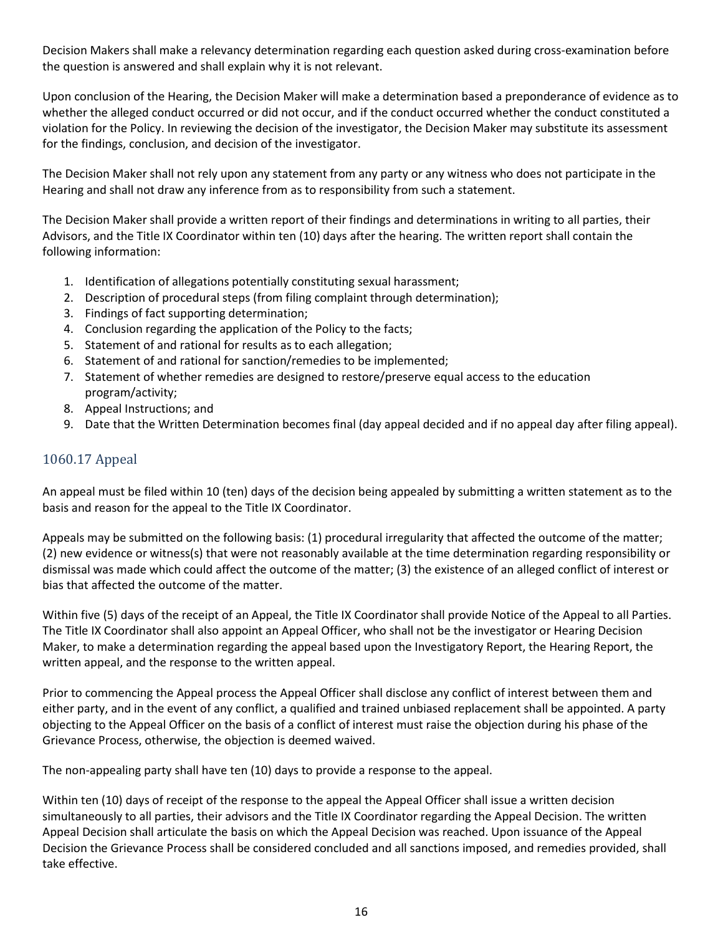Decision Makers shall make a relevancy determination regarding each question asked during cross-examination before the question is answered and shall explain why it is not relevant.

Upon conclusion of the Hearing, the Decision Maker will make a determination based a preponderance of evidence as to whether the alleged conduct occurred or did not occur, and if the conduct occurred whether the conduct constituted a violation for the Policy. In reviewing the decision of the investigator, the Decision Maker may substitute its assessment for the findings, conclusion, and decision of the investigator.

The Decision Maker shall not rely upon any statement from any party or any witness who does not participate in the Hearing and shall not draw any inference from as to responsibility from such a statement.

The Decision Maker shall provide a written report of their findings and determinations in writing to all parties, their Advisors, and the Title IX Coordinator within ten (10) days after the hearing. The written report shall contain the following information:

- 1. Identification of allegations potentially constituting sexual harassment;
- 2. Description of procedural steps (from filing complaint through determination);
- 3. Findings of fact supporting determination;
- 4. Conclusion regarding the application of the Policy to the facts;
- 5. Statement of and rational for results as to each allegation;
- 6. Statement of and rational for sanction/remedies to be implemented;
- 7. Statement of whether remedies are designed to restore/preserve equal access to the education program/activity;
- 8. Appeal Instructions; and
- 9. Date that the Written Determination becomes final (day appeal decided and if no appeal day after filing appeal).

### <span id="page-16-0"></span>1060.17 Appeal

An appeal must be filed within 10 (ten) days of the decision being appealed by submitting a written statement as to the basis and reason for the appeal to the Title IX Coordinator.

Appeals may be submitted on the following basis: (1) procedural irregularity that affected the outcome of the matter; (2) new evidence or witness(s) that were not reasonably available at the time determination regarding responsibility or dismissal was made which could affect the outcome of the matter; (3) the existence of an alleged conflict of interest or bias that affected the outcome of the matter.

Within five (5) days of the receipt of an Appeal, the Title IX Coordinator shall provide Notice of the Appeal to all Parties. The Title IX Coordinator shall also appoint an Appeal Officer, who shall not be the investigator or Hearing Decision Maker, to make a determination regarding the appeal based upon the Investigatory Report, the Hearing Report, the written appeal, and the response to the written appeal.

Prior to commencing the Appeal process the Appeal Officer shall disclose any conflict of interest between them and either party, and in the event of any conflict, a qualified and trained unbiased replacement shall be appointed. A party objecting to the Appeal Officer on the basis of a conflict of interest must raise the objection during his phase of the Grievance Process, otherwise, the objection is deemed waived.

The non-appealing party shall have ten (10) days to provide a response to the appeal.

Within ten (10) days of receipt of the response to the appeal the Appeal Officer shall issue a written decision simultaneously to all parties, their advisors and the Title IX Coordinator regarding the Appeal Decision. The written Appeal Decision shall articulate the basis on which the Appeal Decision was reached. Upon issuance of the Appeal Decision the Grievance Process shall be considered concluded and all sanctions imposed, and remedies provided, shall take effective.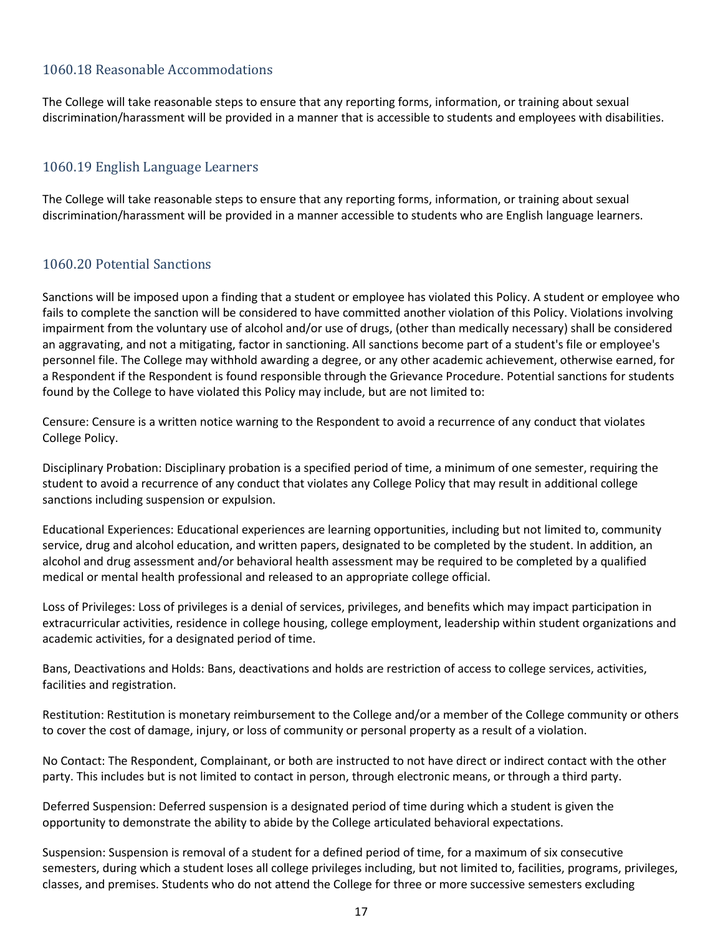### <span id="page-17-0"></span>1060.18 Reasonable Accommodations

The College will take reasonable steps to ensure that any reporting forms, information, or training about sexual discrimination/harassment will be provided in a manner that is accessible to students and employees with disabilities.

### <span id="page-17-1"></span>1060.19 English Language Learners

The College will take reasonable steps to ensure that any reporting forms, information, or training about sexual discrimination/harassment will be provided in a manner accessible to students who are English language learners.

#### <span id="page-17-2"></span>1060.20 Potential Sanctions

Sanctions will be imposed upon a finding that a student or employee has violated this Policy. A student or employee who fails to complete the sanction will be considered to have committed another violation of this Policy. Violations involving impairment from the voluntary use of alcohol and/or use of drugs, (other than medically necessary) shall be considered an aggravating, and not a mitigating, factor in sanctioning. All sanctions become part of a student's file or employee's personnel file. The College may withhold awarding a degree, or any other academic achievement, otherwise earned, for a Respondent if the Respondent is found responsible through the Grievance Procedure. Potential sanctions for students found by the College to have violated this Policy may include, but are not limited to:

Censure: Censure is a written notice warning to the Respondent to avoid a recurrence of any conduct that violates College Policy.

Disciplinary Probation: Disciplinary probation is a specified period of time, a minimum of one semester, requiring the student to avoid a recurrence of any conduct that violates any College Policy that may result in additional college sanctions including suspension or expulsion.

Educational Experiences: Educational experiences are learning opportunities, including but not limited to, community service, drug and alcohol education, and written papers, designated to be completed by the student. In addition, an alcohol and drug assessment and/or behavioral health assessment may be required to be completed by a qualified medical or mental health professional and released to an appropriate college official.

Loss of Privileges: Loss of privileges is a denial of services, privileges, and benefits which may impact participation in extracurricular activities, residence in college housing, college employment, leadership within student organizations and academic activities, for a designated period of time.

Bans, Deactivations and Holds: Bans, deactivations and holds are restriction of access to college services, activities, facilities and registration.

Restitution: Restitution is monetary reimbursement to the College and/or a member of the College community or others to cover the cost of damage, injury, or loss of community or personal property as a result of a violation.

No Contact: The Respondent, Complainant, or both are instructed to not have direct or indirect contact with the other party. This includes but is not limited to contact in person, through electronic means, or through a third party.

Deferred Suspension: Deferred suspension is a designated period of time during which a student is given the opportunity to demonstrate the ability to abide by the College articulated behavioral expectations.

Suspension: Suspension is removal of a student for a defined period of time, for a maximum of six consecutive semesters, during which a student loses all college privileges including, but not limited to, facilities, programs, privileges, classes, and premises. Students who do not attend the College for three or more successive semesters excluding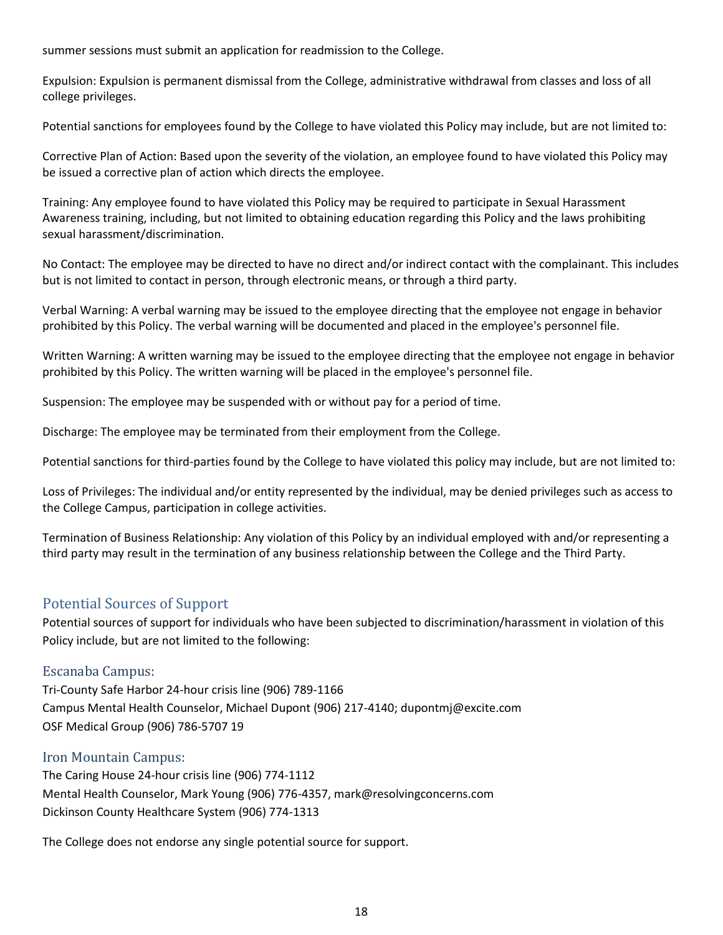summer sessions must submit an application for readmission to the College.

Expulsion: Expulsion is permanent dismissal from the College, administrative withdrawal from classes and loss of all college privileges.

Potential sanctions for employees found by the College to have violated this Policy may include, but are not limited to:

Corrective Plan of Action: Based upon the severity of the violation, an employee found to have violated this Policy may be issued a corrective plan of action which directs the employee.

Training: Any employee found to have violated this Policy may be required to participate in Sexual Harassment Awareness training, including, but not limited to obtaining education regarding this Policy and the laws prohibiting sexual harassment/discrimination.

No Contact: The employee may be directed to have no direct and/or indirect contact with the complainant. This includes but is not limited to contact in person, through electronic means, or through a third party.

Verbal Warning: A verbal warning may be issued to the employee directing that the employee not engage in behavior prohibited by this Policy. The verbal warning will be documented and placed in the employee's personnel file.

Written Warning: A written warning may be issued to the employee directing that the employee not engage in behavior prohibited by this Policy. The written warning will be placed in the employee's personnel file.

Suspension: The employee may be suspended with or without pay for a period of time.

Discharge: The employee may be terminated from their employment from the College.

Potential sanctions for third-parties found by the College to have violated this policy may include, but are not limited to:

Loss of Privileges: The individual and/or entity represented by the individual, may be denied privileges such as access to the College Campus, participation in college activities.

Termination of Business Relationship: Any violation of this Policy by an individual employed with and/or representing a third party may result in the termination of any business relationship between the College and the Third Party.

### <span id="page-18-0"></span>Potential Sources of Support

Potential sources of support for individuals who have been subjected to discrimination/harassment in violation of this Policy include, but are not limited to the following:

#### <span id="page-18-1"></span>Escanaba Campus:

Tri-County Safe Harbor 24-hour crisis line (906) 789-1166 Campus Mental Health Counselor, Michael Dupont (906) 217-4140; dupontmj@excite.com OSF Medical Group (906) 786-5707 19

#### <span id="page-18-2"></span>Iron Mountain Campus:

The Caring House 24-hour crisis line (906) 774-1112 Mental Health Counselor, Mark Young (906) 776-4357, mark@resolvingconcerns.com Dickinson County Healthcare System (906) 774-1313

The College does not endorse any single potential source for support.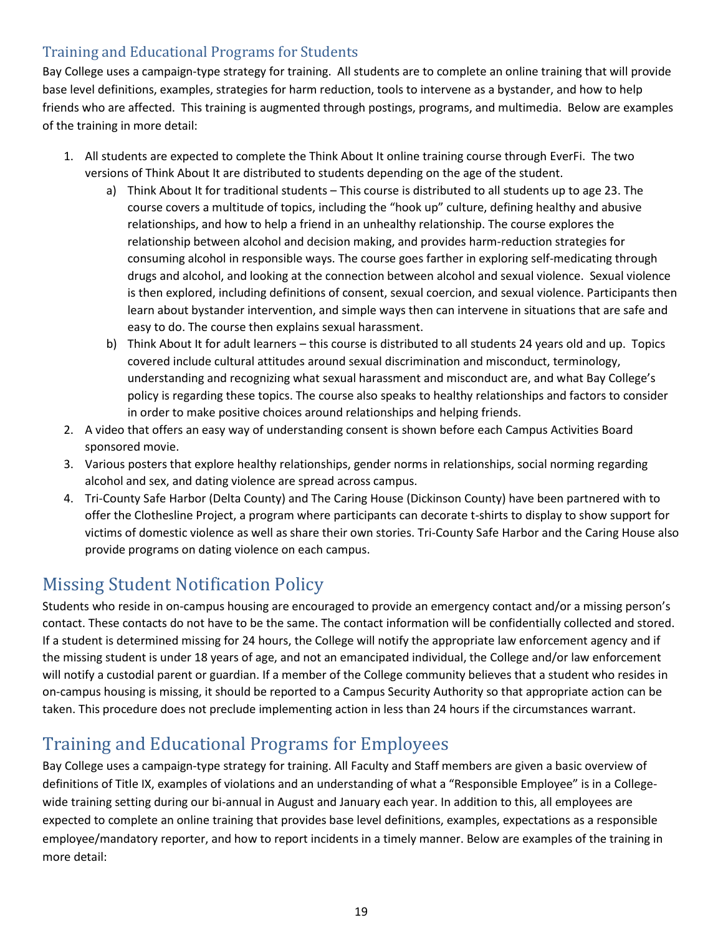### <span id="page-19-0"></span>Training and Educational Programs for Students

Bay College uses a campaign-type strategy for training. All students are to complete an online training that will provide base level definitions, examples, strategies for harm reduction, tools to intervene as a bystander, and how to help friends who are affected. This training is augmented through postings, programs, and multimedia. Below are examples of the training in more detail:

- 1. All students are expected to complete the Think About It online training course through EverFi. The two versions of Think About It are distributed to students depending on the age of the student.
	- a) Think About It for traditional students This course is distributed to all students up to age 23. The course covers a multitude of topics, including the "hook up" culture, defining healthy and abusive relationships, and how to help a friend in an unhealthy relationship. The course explores the relationship between alcohol and decision making, and provides harm-reduction strategies for consuming alcohol in responsible ways. The course goes farther in exploring self-medicating through drugs and alcohol, and looking at the connection between alcohol and sexual violence. Sexual violence is then explored, including definitions of consent, sexual coercion, and sexual violence. Participants then learn about bystander intervention, and simple ways then can intervene in situations that are safe and easy to do. The course then explains sexual harassment.
	- b) Think About It for adult learners this course is distributed to all students 24 years old and up. Topics covered include cultural attitudes around sexual discrimination and misconduct, terminology, understanding and recognizing what sexual harassment and misconduct are, and what Bay College's policy is regarding these topics. The course also speaks to healthy relationships and factors to consider in order to make positive choices around relationships and helping friends.
- 2. A video that offers an easy way of understanding consent is shown before each Campus Activities Board sponsored movie.
- 3. Various posters that explore healthy relationships, gender norms in relationships, social norming regarding alcohol and sex, and dating violence are spread across campus.
- 4. Tri-County Safe Harbor (Delta County) and The Caring House (Dickinson County) have been partnered with to offer the Clothesline Project, a program where participants can decorate t-shirts to display to show support for victims of domestic violence as well as share their own stories. Tri-County Safe Harbor and the Caring House also provide programs on dating violence on each campus.

## <span id="page-19-1"></span>Missing Student Notification Policy

Students who reside in on-campus housing are encouraged to provide an emergency contact and/or a missing person's contact. These contacts do not have to be the same. The contact information will be confidentially collected and stored. If a student is determined missing for 24 hours, the College will notify the appropriate law enforcement agency and if the missing student is under 18 years of age, and not an emancipated individual, the College and/or law enforcement will notify a custodial parent or guardian. If a member of the College community believes that a student who resides in on-campus housing is missing, it should be reported to a Campus Security Authority so that appropriate action can be taken. This procedure does not preclude implementing action in less than 24 hours if the circumstances warrant.

## <span id="page-19-2"></span>Training and Educational Programs for Employees

Bay College uses a campaign-type strategy for training. All Faculty and Staff members are given a basic overview of definitions of Title IX, examples of violations and an understanding of what a "Responsible Employee" is in a Collegewide training setting during our bi-annual in August and January each year. In addition to this, all employees are expected to complete an online training that provides base level definitions, examples, expectations as a responsible employee/mandatory reporter, and how to report incidents in a timely manner. Below are examples of the training in more detail: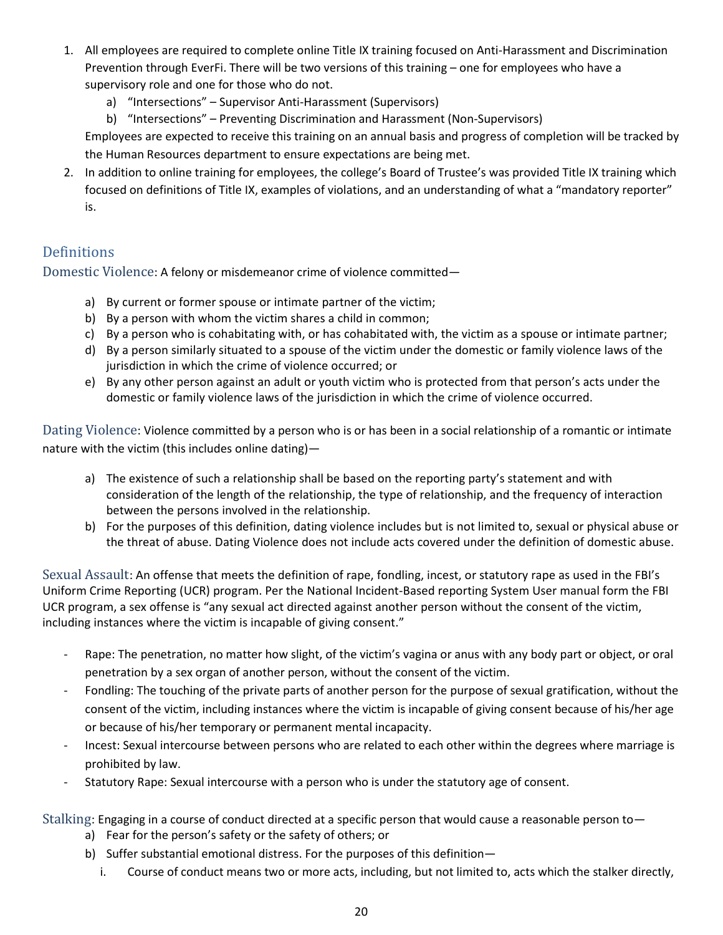- 1. All employees are required to complete online Title IX training focused on Anti-Harassment and Discrimination Prevention through EverFi. There will be two versions of this training – one for employees who have a supervisory role and one for those who do not.
	- a) "Intersections" Supervisor Anti-Harassment (Supervisors)
	- b) "Intersections" Preventing Discrimination and Harassment (Non-Supervisors)

Employees are expected to receive this training on an annual basis and progress of completion will be tracked by the Human Resources department to ensure expectations are being met.

2. In addition to online training for employees, the college's Board of Trustee's was provided Title IX training which focused on definitions of Title IX, examples of violations, and an understanding of what a "mandatory reporter" is.

### <span id="page-20-0"></span>**Definitions**

<span id="page-20-1"></span>Domestic Violence: A felony or misdemeanor crime of violence committed—

- a) By current or former spouse or intimate partner of the victim;
- b) By a person with whom the victim shares a child in common;
- c) By a person who is cohabitating with, or has cohabitated with, the victim as a spouse or intimate partner;
- d) By a person similarly situated to a spouse of the victim under the domestic or family violence laws of the jurisdiction in which the crime of violence occurred; or
- e) By any other person against an adult or youth victim who is protected from that person's acts under the domestic or family violence laws of the jurisdiction in which the crime of violence occurred.

<span id="page-20-2"></span>Dating Violence: Violence committed by a person who is or has been in a social relationship of a romantic or intimate nature with the victim (this includes online dating)—

- a) The existence of such a relationship shall be based on the reporting party's statement and with consideration of the length of the relationship, the type of relationship, and the frequency of interaction between the persons involved in the relationship.
- b) For the purposes of this definition, dating violence includes but is not limited to, sexual or physical abuse or the threat of abuse. Dating Violence does not include acts covered under the definition of domestic abuse.

<span id="page-20-3"></span>Sexual Assault: An offense that meets the definition of rape, fondling, incest, or statutory rape as used in the FBI's Uniform Crime Reporting (UCR) program. Per the National Incident-Based reporting System User manual form the FBI UCR program, a sex offense is "any sexual act directed against another person without the consent of the victim, including instances where the victim is incapable of giving consent."

- Rape: The penetration, no matter how slight, of the victim's vagina or anus with any body part or object, or oral penetration by a sex organ of another person, without the consent of the victim.
- Fondling: The touching of the private parts of another person for the purpose of sexual gratification, without the consent of the victim, including instances where the victim is incapable of giving consent because of his/her age or because of his/her temporary or permanent mental incapacity.
- Incest: Sexual intercourse between persons who are related to each other within the degrees where marriage is prohibited by law.
- Statutory Rape: Sexual intercourse with a person who is under the statutory age of consent.
- <span id="page-20-4"></span>Stalking: Engaging in a course of conduct directed at a specific person that would cause a reasonable person to
	- a) Fear for the person's safety or the safety of others; or
	- b) Suffer substantial emotional distress. For the purposes of this definition
		- i. Course of conduct means two or more acts, including, but not limited to, acts which the stalker directly,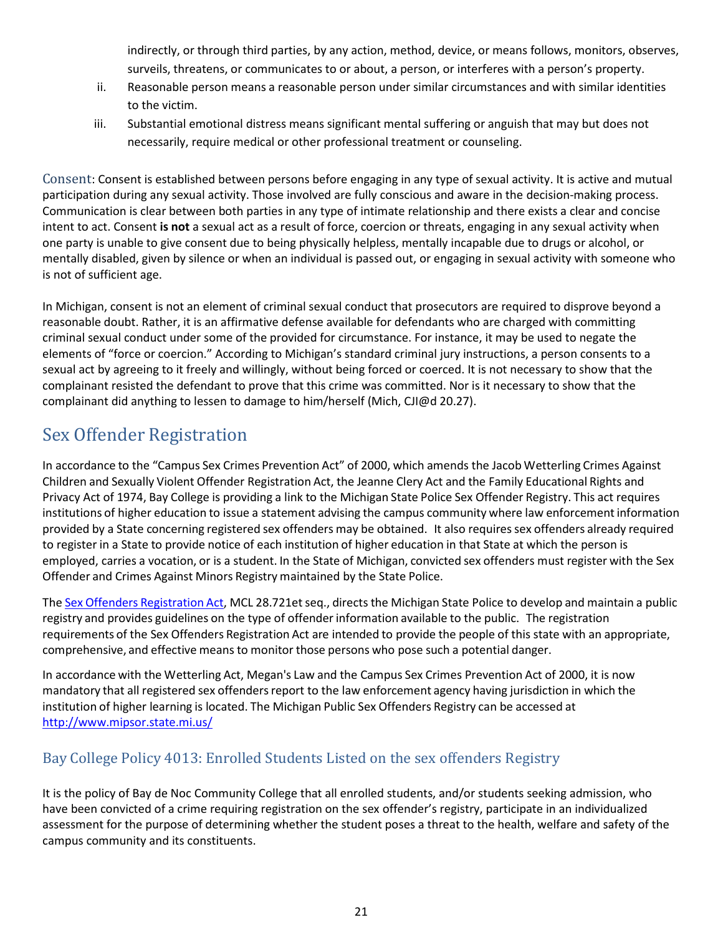indirectly, or through third parties, by any action, method, device, or means follows, monitors, observes, surveils, threatens, or communicates to or about, a person, or interferes with a person's property.

- ii. Reasonable person means a reasonable person under similar circumstances and with similar identities to the victim.
- iii. Substantial emotional distress means significant mental suffering or anguish that may but does not necessarily, require medical or other professional treatment or counseling.

<span id="page-21-0"></span>Consent: Consent is established between persons before engaging in any type of sexual activity. It is active and mutual participation during any sexual activity. Those involved are fully conscious and aware in the decision-making process. Communication is clear between both parties in any type of intimate relationship and there exists a clear and concise intent to act. Consent **is not** a sexual act as a result of force, coercion or threats, engaging in any sexual activity when one party is unable to give consent due to being physically helpless, mentally incapable due to drugs or alcohol, or mentally disabled, given by silence or when an individual is passed out, or engaging in sexual activity with someone who is not of sufficient age.

In Michigan, consent is not an element of criminal sexual conduct that prosecutors are required to disprove beyond a reasonable doubt. Rather, it is an affirmative defense available for defendants who are charged with committing criminal sexual conduct under some of the provided for circumstance. For instance, it may be used to negate the elements of "force or coercion." According to Michigan's standard criminal jury instructions, a person consents to a sexual act by agreeing to it freely and willingly, without being forced or coerced. It is not necessary to show that the complainant resisted the defendant to prove that this crime was committed. Nor is it necessary to show that the complainant did anything to lessen to damage to him/herself (Mich, CJI@d 20.27).

## <span id="page-21-1"></span>Sex Offender Registration

In accordance to the "Campus Sex Crimes Prevention Act" of 2000, which amends the Jacob Wetterling Crimes Against Children and Sexually Violent Offender Registration Act, the Jeanne Clery Act and the Family Educational Rights and Privacy Act of 1974, Bay College is providing a link to the Michigan State Police Sex Offender Registry. This act requires institutions of higher education to issue a statement advising the campus community where law enforcement information provided by a State concerning registered sex offenders may be obtained. It also requiressex offenders already required to register in a State to provide notice of each institution of higher education in that State at which the person is employed, carries a vocation, or is a student. In the State of Michigan, convicted sex offenders must register with the Sex Offender and Crimes Against Minors Registry maintained by the State Police.

The Sex Offenders [Registration](http://www.legislature.mi.gov/(S(lfq0bkoswok5tpjobgocmn2g))/mileg.aspx?page=getobject&objectname=mcl-act-295-of-1994&queryid=6439389&highlight) Act, MCL 28.721et seq., directs the Michigan State Police to develop and maintain a public registry and provides guidelines on the type of offender information available to the public. The registration requirements of the Sex Offenders Registration Act are intended to provide the people of this state with an appropriate, comprehensive, and effective means to monitor those persons who pose such a potential danger.

In accordance with the Wetterling Act, Megan's Law and the Campus Sex Crimes Prevention Act of 2000, it is now mandatory that all registered sex offenders report to the law enforcement agency having jurisdiction in which the institution of higher learning is located. The Michigan Public Sex Offenders Registry can be accessed at <http://www.mipsor.state.mi.us/>

### <span id="page-21-2"></span>Bay College Policy 4013: Enrolled Students Listed on the sex offenders Registry

It is the policy of Bay de Noc Community College that all enrolled students, and/or students seeking admission, who have been convicted of a crime requiring registration on the sex offender's registry, participate in an individualized assessment for the purpose of determining whether the student poses a threat to the health, welfare and safety of the campus community and its constituents.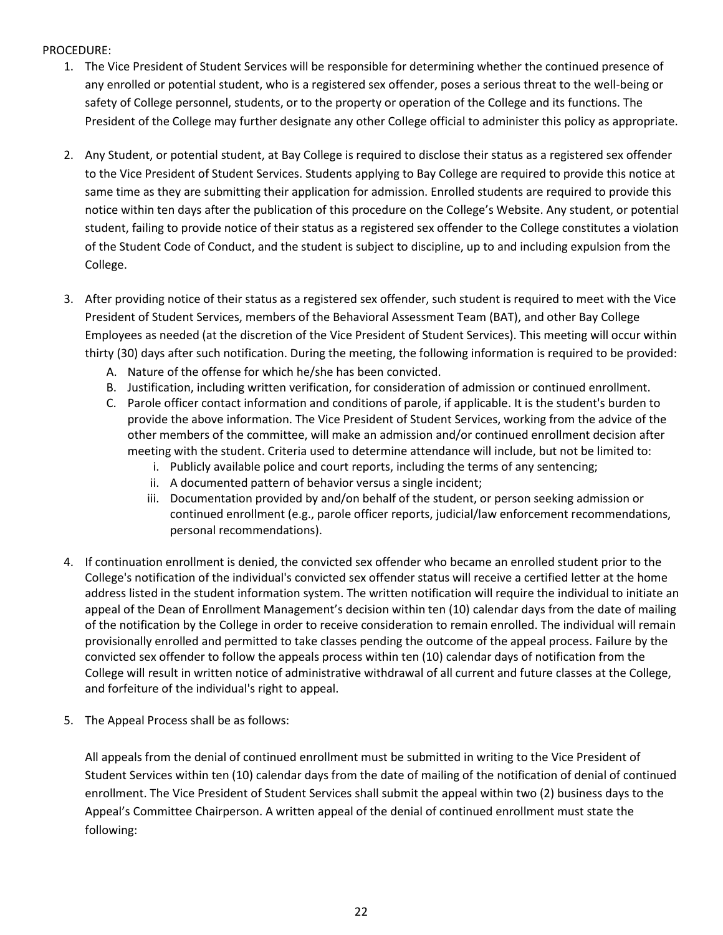#### PROCEDURE:

- 1. The Vice President of Student Services will be responsible for determining whether the continued presence of any enrolled or potential student, who is a registered sex offender, poses a serious threat to the well-being or safety of College personnel, students, or to the property or operation of the College and its functions. The President of the College may further designate any other College official to administer this policy as appropriate.
- 2. Any Student, or potential student, at Bay College is required to disclose their status as a registered sex offender to the Vice President of Student Services. Students applying to Bay College are required to provide this notice at same time as they are submitting their application for admission. Enrolled students are required to provide this notice within ten days after the publication of this procedure on the College's Website. Any student, or potential student, failing to provide notice of their status as a registered sex offender to the College constitutes a violation of the Student Code of Conduct, and the student is subject to discipline, up to and including expulsion from the College.
- 3. After providing notice of their status as a registered sex offender, such student is required to meet with the Vice President of Student Services, members of the Behavioral Assessment Team (BAT), and other Bay College Employees as needed (at the discretion of the Vice President of Student Services). This meeting will occur within thirty (30) days after such notification. During the meeting, the following information is required to be provided:
	- A. Nature of the offense for which he/she has been convicted.
	- B. Justification, including written verification, for consideration of admission or continued enrollment.
	- C. Parole officer contact information and conditions of parole, if applicable. It is the student's burden to provide the above information. The Vice President of Student Services, working from the advice of the other members of the committee, will make an admission and/or continued enrollment decision after meeting with the student. Criteria used to determine attendance will include, but not be limited to:
		- i. Publicly available police and court reports, including the terms of any sentencing;
		- ii. A documented pattern of behavior versus a single incident;
		- iii. Documentation provided by and/on behalf of the student, or person seeking admission or continued enrollment (e.g., parole officer reports, judicial/law enforcement recommendations, personal recommendations).
- 4. If continuation enrollment is denied, the convicted sex offender who became an enrolled student prior to the College's notification of the individual's convicted sex offender status will receive a certified letter at the home address listed in the student information system. The written notification will require the individual to initiate an appeal of the Dean of Enrollment Management's decision within ten (10) calendar days from the date of mailing of the notification by the College in order to receive consideration to remain enrolled. The individual will remain provisionally enrolled and permitted to take classes pending the outcome of the appeal process. Failure by the convicted sex offender to follow the appeals process within ten (10) calendar days of notification from the College will result in written notice of administrative withdrawal of all current and future classes at the College, and forfeiture of the individual's right to appeal.
- 5. The Appeal Process shall be as follows:

All appeals from the denial of continued enrollment must be submitted in writing to the Vice President of Student Services within ten (10) calendar days from the date of mailing of the notification of denial of continued enrollment. The Vice President of Student Services shall submit the appeal within two (2) business days to the Appeal's Committee Chairperson. A written appeal of the denial of continued enrollment must state the following: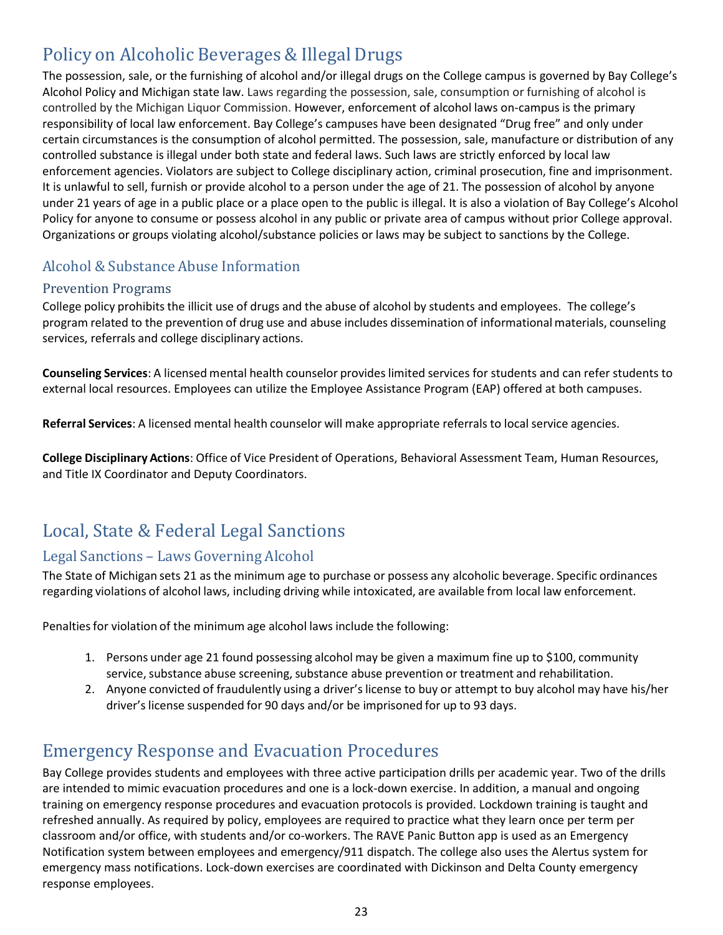## <span id="page-23-0"></span>Policy on Alcoholic Beverages & Illegal Drugs

The possession, sale, or the furnishing of alcohol and/or illegal drugs on the College campus is governed by Bay College's Alcohol Policy and Michigan state law. Laws regarding the possession, sale, consumption or furnishing of alcohol is controlled by the Michigan Liquor Commission. However, enforcement of alcohol laws on-campus is the primary responsibility of local law enforcement. Bay College's campuses have been designated "Drug free" and only under certain circumstances is the consumption of alcohol permitted. The possession, sale, manufacture or distribution of any controlled substance is illegal under both state and federal laws. Such laws are strictly enforced by local law enforcement agencies. Violators are subject to College disciplinary action, criminal prosecution, fine and imprisonment. It is unlawful to sell, furnish or provide alcohol to a person under the age of 21. The possession of alcohol by anyone under 21 years of age in a public place or a place open to the public is illegal. It is also a violation of Bay College's Alcohol Policy for anyone to consume or possess alcohol in any public or private area of campus without prior College approval. Organizations or groups violating alcohol/substance policies or laws may be subject to sanctions by the College.

## <span id="page-23-1"></span>Alcohol & Substance Abuse Information

### <span id="page-23-2"></span>Prevention Programs

College policy prohibits the illicit use of drugs and the abuse of alcohol by students and employees. The college's program related to the prevention of drug use and abuse includes dissemination of informational materials, counseling services, referrals and college disciplinary actions.

**Counseling Services**: A licensed mental health counselor provides limited services for students and can refer students to external local resources. Employees can utilize the Employee Assistance Program (EAP) offered at both campuses.

**Referral Services**: A licensed mental health counselor will make appropriate referrals to local service agencies.

**College Disciplinary Actions**: Office of Vice President of Operations, Behavioral Assessment Team, Human Resources, and Title IX Coordinator and Deputy Coordinators.

## <span id="page-23-3"></span>Local, State & Federal Legal Sanctions

### <span id="page-23-4"></span>Legal Sanctions – Laws Governing Alcohol

The State of Michigan sets 21 as the minimum age to purchase or possess any alcoholic beverage. Specific ordinances regarding violations of alcohol laws, including driving while intoxicated, are available from local law enforcement.

Penaltiesfor violation of the minimum age alcohol laws include the following:

- 1. Persons under age 21 found possessing alcohol may be given a maximum fine up to \$100, community service, substance abuse screening, substance abuse prevention or treatment and rehabilitation.
- 2. Anyone convicted of fraudulently using a driver's license to buy or attempt to buy alcohol may have his/her driver's license suspended for 90 days and/or be imprisoned for up to 93 days.

## <span id="page-23-5"></span>Emergency Response and Evacuation Procedures

Bay College provides students and employees with three active participation drills per academic year. Two of the drills are intended to mimic evacuation procedures and one is a lock-down exercise. In addition, a manual and ongoing training on emergency response procedures and evacuation protocols is provided. Lockdown training is taught and refreshed annually. As required by policy, employees are required to practice what they learn once per term per classroom and/or office, with students and/or co-workers. The RAVE Panic Button app is used as an Emergency Notification system between employees and emergency/911 dispatch. The college also uses the Alertus system for emergency mass notifications. Lock-down exercises are coordinated with Dickinson and Delta County emergency response employees.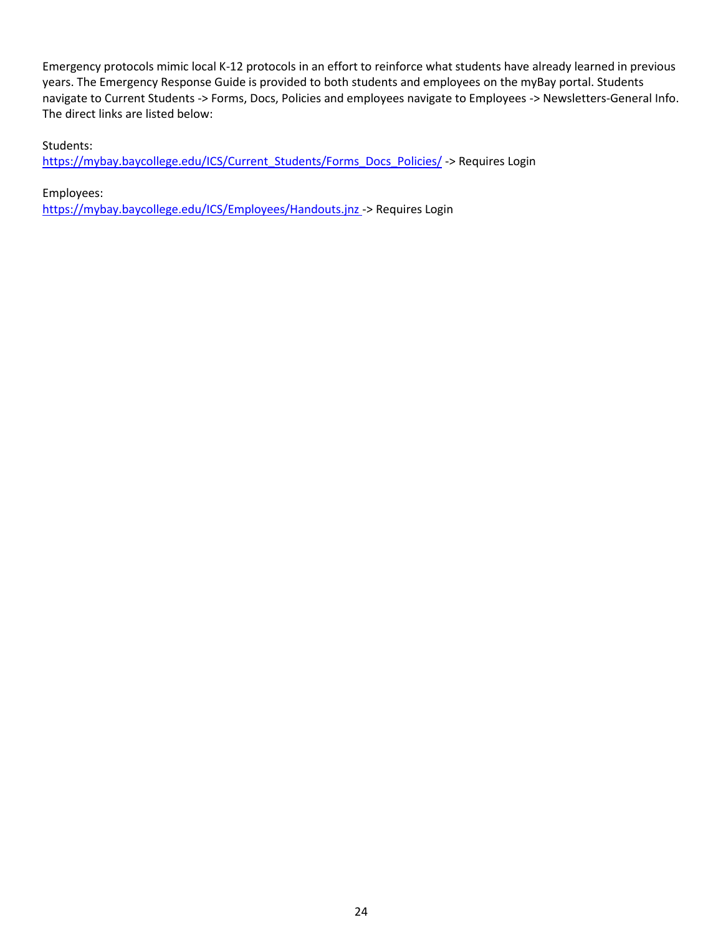Emergency protocols mimic local K-12 protocols in an effort to reinforce what students have already learned in previous years. The Emergency Response Guide is provided to both students and employees on the myBay portal. Students navigate to Current Students -> Forms, Docs, Policies and employees navigate to Employees -> Newsletters-General Info. The direct links are listed below:

Students:

[https://mybay.baycollege.edu/ICS/Current\\_Students/Forms\\_Docs\\_Policies/](https://mybay.baycollege.edu/ICS/Current_Students/Forms_Docs_Policies/) -> Requires Login

Employees:

<https://mybay.baycollege.edu/ICS/Employees/Handouts.jnz> -> Requires Login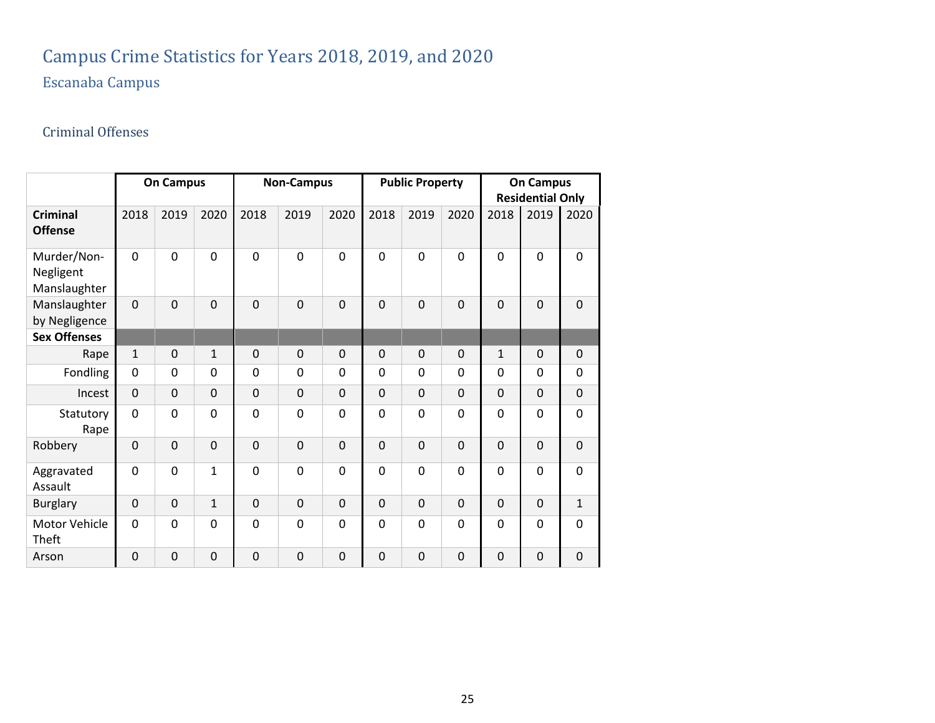## Campus Crime Statistics for Years 2018, 2019, and 2020

## Escanaba Campus

## Criminal Offenses

<span id="page-25-2"></span><span id="page-25-1"></span><span id="page-25-0"></span>

|                                          |                | <b>On Campus</b> |              |             | <b>Non-Campus</b> |                |                | <b>Public Property</b> |                | <b>On Campus</b><br><b>Residential Only</b> |                |                |  |
|------------------------------------------|----------------|------------------|--------------|-------------|-------------------|----------------|----------------|------------------------|----------------|---------------------------------------------|----------------|----------------|--|
| <b>Criminal</b><br><b>Offense</b>        | 2018           | 2019             | 2020         | 2018        | 2019              | 2020           | 2018           | 2019                   | 2020           | 2018                                        | 2019           | 2020           |  |
| Murder/Non-<br>Negligent<br>Manslaughter | $\overline{0}$ | $\mathbf 0$      | $\mathbf 0$  | $\mathbf 0$ | $\mathbf 0$       | $\mathbf 0$    | $\mathbf 0$    | $\mathbf 0$            | $\mathbf 0$    | 0                                           | 0              | $\mathbf 0$    |  |
| Manslaughter<br>by Negligence            | $\overline{0}$ | $\overline{0}$   | $\mathbf 0$  | $\mathbf 0$ | $\mathbf 0$       | $\mathbf 0$    | $\overline{0}$ | $\mathbf 0$            | $\overline{0}$ | $\mathbf 0$                                 | $\overline{0}$ | $\mathbf 0$    |  |
| <b>Sex Offenses</b>                      |                |                  |              |             |                   |                |                |                        |                |                                             |                |                |  |
| Rape                                     | $\mathbf{1}$   | $\mathbf 0$      | $\mathbf{1}$ | $\mathbf 0$ | $\mathbf 0$       | $\mathbf 0$    | $\mathbf 0$    | $\mathbf 0$            | $\mathbf 0$    | $\mathbf{1}$                                | $\mathbf 0$    | $\mathbf 0$    |  |
| Fondling                                 | 0              | $\mathbf 0$      | 0            | 0           | $\mathbf 0$       | $\mathbf 0$    | $\mathbf 0$    | $\mathbf 0$            | 0              | 0                                           | 0              | $\mathbf 0$    |  |
| Incest                                   | $\mathbf 0$    | $\mathbf 0$      | $\mathbf 0$  | $\mathbf 0$ | $\mathbf 0$       | $\mathbf 0$    | $\mathbf 0$    | $\mathbf 0$            | $\mathbf 0$    | $\mathbf 0$                                 | 0              | $\mathbf 0$    |  |
| Statutory<br>Rape                        | 0              | $\mathbf 0$      | $\mathbf 0$  | 0           | $\mathbf 0$       | $\overline{0}$ | $\mathbf 0$    | $\mathbf 0$            | $\mathbf 0$    | 0                                           | 0              | $\overline{0}$ |  |
| Robbery                                  | $\mathbf 0$    | $\mathbf 0$      | $\mathbf 0$  | $\mathbf 0$ | $\overline{0}$    | $\mathbf 0$    | $\mathbf 0$    | $\overline{0}$         | $\overline{0}$ | $\mathbf 0$                                 | 0              | $\mathbf 0$    |  |
| Aggravated<br>Assault                    | $\overline{0}$ | $\mathbf 0$      | $\mathbf{1}$ | 0           | $\mathbf 0$       | $\overline{0}$ | $\mathbf 0$    | $\mathbf 0$            | $\mathbf 0$    | 0                                           | 0              | $\mathbf 0$    |  |
| <b>Burglary</b>                          | $\mathbf 0$    | $\mathbf 0$      | $\mathbf{1}$ | $\mathbf 0$ | $\mathbf 0$       | $\mathbf 0$    | $\mathbf 0$    | $\mathbf 0$            | $\mathbf 0$    | $\mathbf 0$                                 | 0              | $\mathbf{1}$   |  |
| Motor Vehicle<br>Theft                   | $\overline{0}$ | $\mathbf 0$      | 0            | 0           | $\mathbf 0$       | $\overline{0}$ | $\overline{0}$ | $\mathbf 0$            | $\mathbf 0$    | 0                                           | 0              | $\overline{0}$ |  |
| Arson                                    | $\mathbf 0$    | $\mathbf 0$      | $\mathbf 0$  | 0           | $\mathbf 0$       | $\mathbf 0$    | $\mathbf 0$    | $\mathbf 0$            | $\mathbf 0$    | 0                                           | 0              | 0              |  |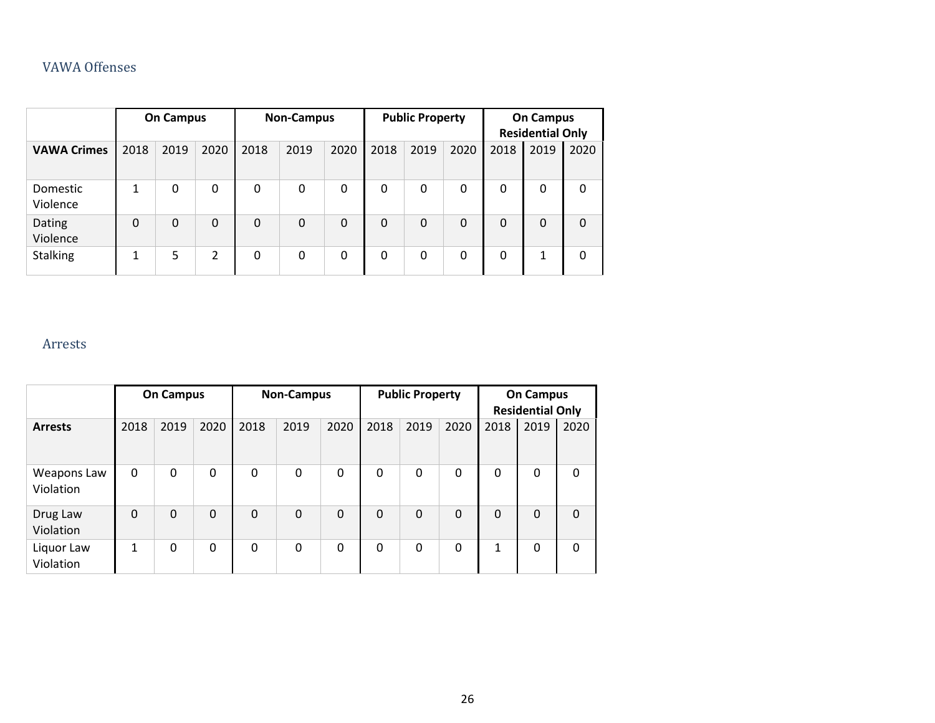### VAWA Offenses

|                      |              | <b>On Campus</b> |      |                | <b>Non-Campus</b> |          |          | <b>Public Property</b> |             |          | <b>On Campus</b><br><b>Residential Only</b> |          |
|----------------------|--------------|------------------|------|----------------|-------------------|----------|----------|------------------------|-------------|----------|---------------------------------------------|----------|
| <b>VAWA Crimes</b>   | 2018         | 2019             | 2020 | 2018           | 2019              | 2020     | 2018     | 2019                   | 2020        | 2018     | 2019                                        | 2020     |
| Domestic<br>Violence | $\mathbf{1}$ | $\mathbf 0$      | 0    | $\mathbf 0$    | $\Omega$          | $\Omega$ | 0        | 0                      | $\mathbf 0$ | 0        | 0                                           | $\Omega$ |
| Dating<br>Violence   | 0            | $\Omega$         | 0    | $\overline{0}$ | $\Omega$          | $\Omega$ | $\Omega$ | $\Omega$               | $\Omega$    | $\Omega$ | $\Omega$                                    | $\Omega$ |
| <b>Stalking</b>      | 1            | 5                | 2    | 0              | $\Omega$          | $\Omega$ | 0        | 0                      | $\Omega$    | 0        | 1                                           | $\Omega$ |

### <span id="page-26-0"></span>Arrests

<span id="page-26-1"></span>

|                          |              | <b>On Campus</b> |          |          | <b>Non-Campus</b> |              | <b>Public Property</b> |                |              | <b>On Campus</b><br><b>Residential Only</b> |      |      |
|--------------------------|--------------|------------------|----------|----------|-------------------|--------------|------------------------|----------------|--------------|---------------------------------------------|------|------|
| <b>Arrests</b>           | 2018         | 2019             | 2020     | 2018     | 2019              | 2020         | 2018                   | 2019           | 2020         | 2018                                        | 2019 | 2020 |
| Weapons Law<br>Violation | $\mathbf{0}$ | $\mathbf{0}$     | 0        | 0        | $\Omega$          | $\mathbf{0}$ | $\mathbf 0$            | 0              | $\Omega$     | $\mathbf 0$                                 | 0    | 0    |
| Drug Law<br>Violation    | $\mathbf{0}$ | $\Omega$         | $\Omega$ | $\Omega$ | $\Omega$          | $\Omega$     | $\Omega$               | $\overline{0}$ | $\mathbf{0}$ | $\Omega$                                    | 0    | 0    |
| Liquor Law<br>Violation  | 1            | 0                | 0        | 0        | $\Omega$          | $\mathbf{0}$ | $\mathbf 0$            | 0              | $\Omega$     | 1                                           | 0    | 0    |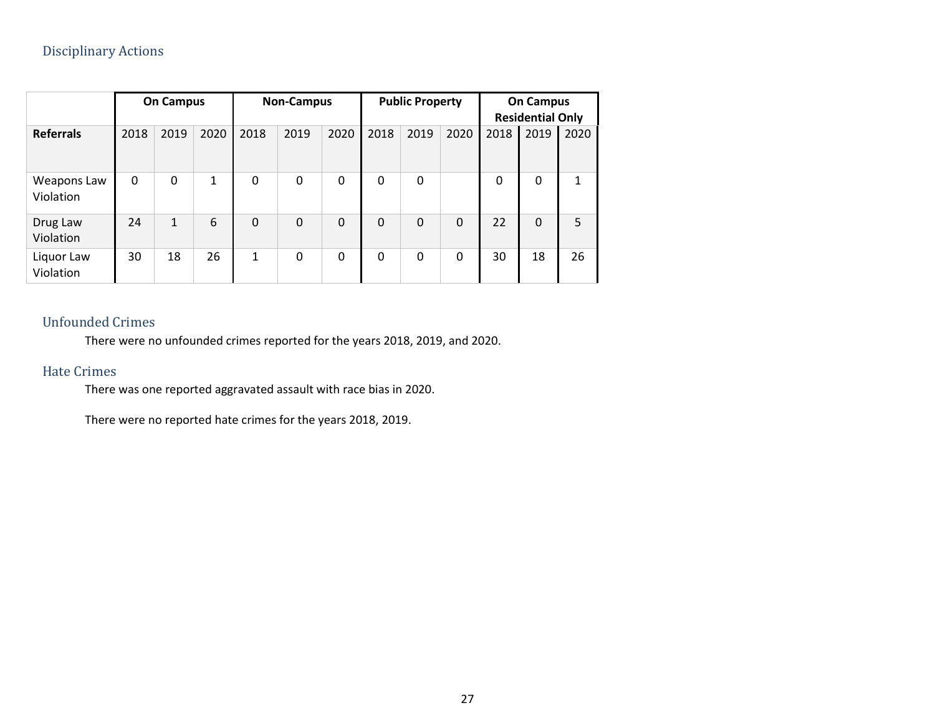|                          |      | <b>On Campus</b> |      | <b>Non-Campus</b> |          |          | <b>Public Property</b> |              |              | <b>On Campus</b><br><b>Residential Only</b> |          |      |
|--------------------------|------|------------------|------|-------------------|----------|----------|------------------------|--------------|--------------|---------------------------------------------|----------|------|
| <b>Referrals</b>         | 2018 | 2019             | 2020 | 2018              | 2019     | 2020     | 2018                   | 2019         | 2020         | 2018                                        | 2019     | 2020 |
| Weapons Law<br>Violation | 0    | 0                | 1    | 0                 | 0        | 0        | 0                      | $\mathbf{0}$ |              | 0                                           | $\Omega$ | 1    |
| Drug Law<br>Violation    | 24   | $\mathbf{1}$     | 6    | $\Omega$          | $\Omega$ | $\Omega$ | $\Omega$               | $\mathbf{0}$ | $\mathbf{0}$ | 22                                          | $\Omega$ | 5    |
| Liquor Law<br>Violation  | 30   | 18               | 26   | $\mathbf{1}$      | 0        | 0        | 0                      | 0            | $\mathbf{0}$ | 30                                          | 18       | 26   |

### <span id="page-27-0"></span>Unfounded Crimes

There were no unfounded crimes reported for the years 2018, 2019, and 2020.

### Hate Crimes

There was one reported aggravated assault with race bias in 2020.

<span id="page-27-2"></span><span id="page-27-1"></span>There were no reported hate crimes for the years 2018, 2019.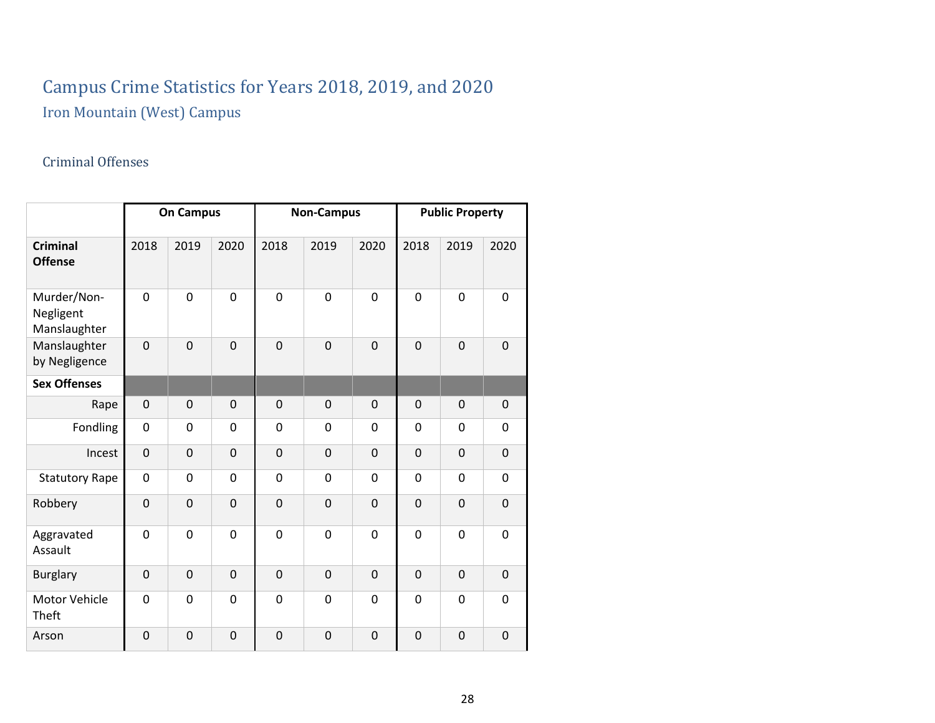# Campus Crime Statistics for Years 2018, 2019, and 2020

Iron Mountain (West) Campus

## Criminal Offenses

<span id="page-28-2"></span><span id="page-28-1"></span><span id="page-28-0"></span>

|                                          | <b>On Campus</b> |             |                | <b>Non-Campus</b> |                |              | <b>Public Property</b> |                |             |
|------------------------------------------|------------------|-------------|----------------|-------------------|----------------|--------------|------------------------|----------------|-------------|
| <b>Criminal</b><br><b>Offense</b>        | 2018             | 2019        | 2020           | 2018              | 2019           | 2020         | 2018                   | 2019           | 2020        |
| Murder/Non-<br>Negligent<br>Manslaughter | 0                | $\mathbf 0$ | $\overline{0}$ | $\overline{0}$    | $\mathbf 0$    | 0            | $\mathbf 0$            | $\overline{0}$ | 0           |
| Manslaughter<br>by Negligence            | $\overline{0}$   | $\mathbf 0$ | $\overline{0}$ | $\overline{0}$    | $\overline{0}$ | $\mathbf 0$  | $\mathbf 0$            | $\overline{0}$ | $\mathbf 0$ |
| <b>Sex Offenses</b>                      |                  |             |                |                   |                |              |                        |                |             |
| Rape                                     | $\mathbf 0$      | 0           | $\mathbf 0$    | $\mathbf 0$       | $\mathbf 0$    | $\mathbf 0$  | 0                      | $\mathbf 0$    | 0           |
| Fondling                                 | $\mathbf 0$      | $\mathbf 0$ | 0              | $\mathbf 0$       | $\mathbf 0$    | $\mathbf 0$  | $\mathbf 0$            | $\mathbf 0$    | 0           |
| Incest                                   | $\mathbf 0$      | $\mathbf 0$ | $\overline{0}$ | $\overline{0}$    | $\overline{0}$ | $\mathbf 0$  | $\mathbf 0$            | $\overline{0}$ | 0           |
| <b>Statutory Rape</b>                    | 0                | 0           | 0              | $\mathbf 0$       | 0              | $\mathbf{0}$ | 0                      | $\mathbf 0$    | 0           |
| Robbery                                  | $\overline{0}$   | $\mathbf 0$ | $\overline{0}$ | $\overline{0}$    | $\overline{0}$ | $\mathbf 0$  | $\mathbf 0$            | $\overline{0}$ | $\mathbf 0$ |
| Aggravated<br>Assault                    | 0                | $\mathbf 0$ | 0              | $\mathbf 0$       | $\mathbf 0$    | 0            | $\mathbf 0$            | $\mathbf 0$    | $\mathbf 0$ |
| <b>Burglary</b>                          | $\mathbf 0$      | $\mathbf 0$ | $\overline{0}$ | $\mathbf 0$       | $\mathbf 0$    | 0            | $\mathbf 0$            | $\overline{0}$ | $\mathbf 0$ |
| Motor Vehicle<br>Theft                   | $\mathbf 0$      | $\mathbf 0$ | 0              | $\mathbf 0$       | $\mathbf 0$    | 0            | $\mathbf 0$            | $\mathbf 0$    | $\mathbf 0$ |
| Arson                                    | $\mathbf 0$      | $\mathbf 0$ | $\overline{0}$ | $\mathbf 0$       | $\overline{0}$ | $\mathbf 0$  | $\mathbf 0$            | $\overline{0}$ | $\mathbf 0$ |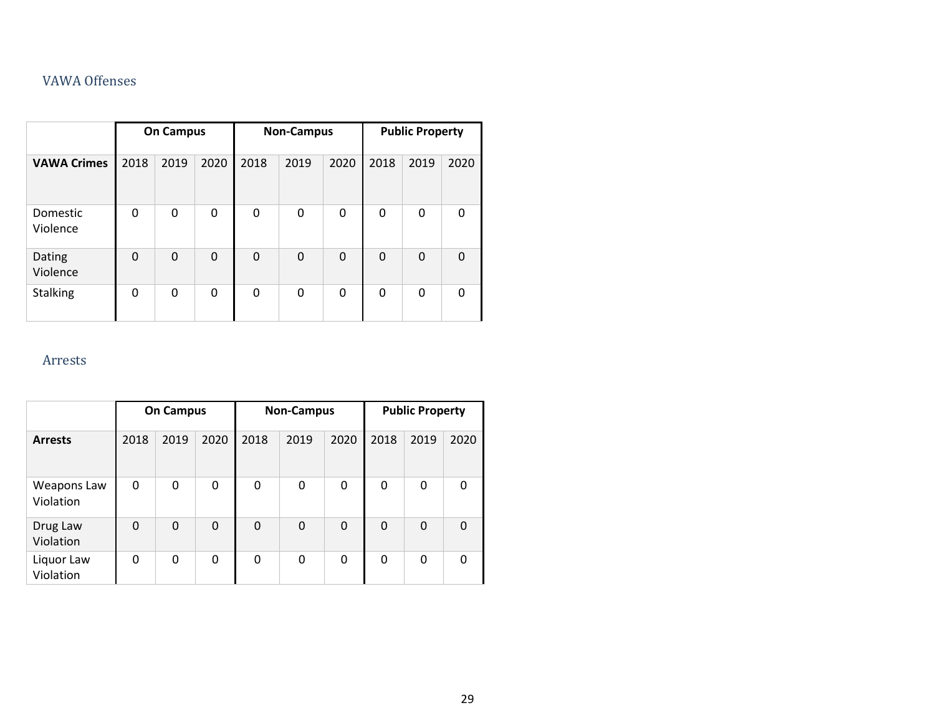### VAWA Offenses

|                      | <b>On Campus</b> |      |              | <b>Non-Campus</b> |              |          | <b>Public Property</b> |      |          |
|----------------------|------------------|------|--------------|-------------------|--------------|----------|------------------------|------|----------|
| <b>VAWA Crimes</b>   | 2018             | 2019 | 2020         | 2018              | 2019         | 2020     | 2018                   | 2019 | 2020     |
| Domestic<br>Violence | $\mathbf{0}$     | 0    | $\mathbf{0}$ | 0                 | 0            | 0        | 0                      | 0    | 0        |
| Dating<br>Violence   | $\Omega$         | 0    | $\Omega$     | $\mathbf 0$       | $\Omega$     | $\Omega$ | $\mathbf 0$            | 0    | $\Omega$ |
| <b>Stalking</b>      | $\mathbf{0}$     | 0    | $\mathbf{0}$ | 0                 | $\mathbf{0}$ | 0        | 0                      | 0    | 0        |

### <span id="page-29-0"></span>Arrests

<span id="page-29-1"></span>

|                          | <b>On Campus</b> |      |      | <b>Non-Campus</b> |              |      | <b>Public Property</b> |      |          |
|--------------------------|------------------|------|------|-------------------|--------------|------|------------------------|------|----------|
| <b>Arrests</b>           | 2018             | 2019 | 2020 | 2018              | 2019         | 2020 | 2018                   | 2019 | 2020     |
| Weapons Law<br>Violation | 0                | 0    | 0    | 0                 | $\mathbf{0}$ | 0    | 0                      | 0    | 0        |
| Drug Law<br>Violation    | $\mathbf 0$      | 0    | 0    | $\Omega$          | $\Omega$     | 0    | 0                      | 0    | $\Omega$ |
| Liquor Law<br>Violation  | 0                | 0    | 0    | 0                 | 0            | 0    | 0                      | 0    | 0        |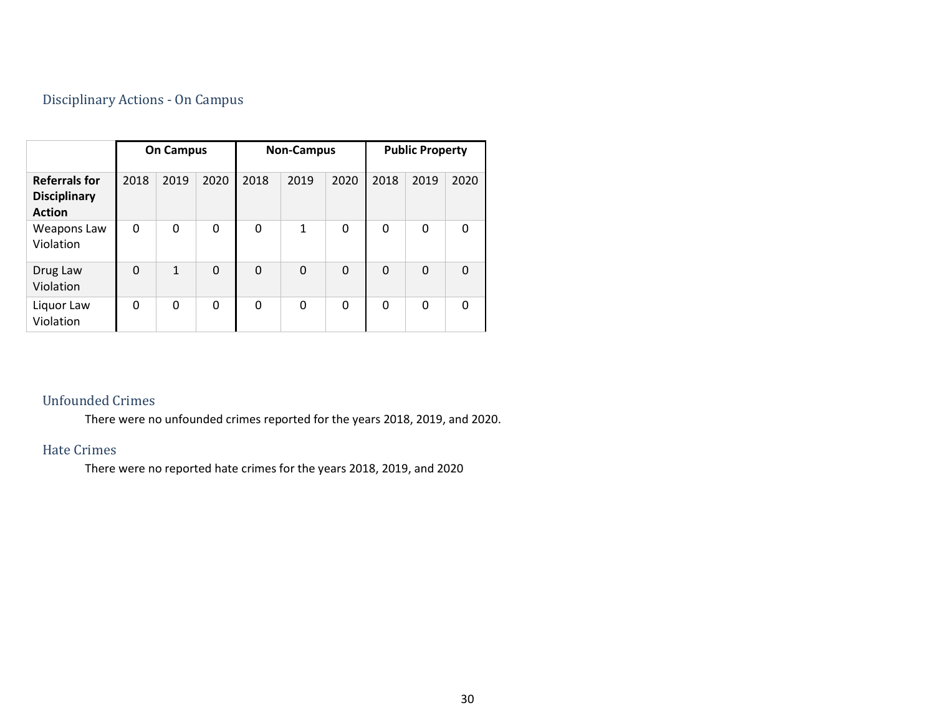### Disciplinary Actions - On Campus

|                                                              | <b>On Campus</b> |              |      | <b>Non-Campus</b> |              |      | <b>Public Property</b> |             |          |
|--------------------------------------------------------------|------------------|--------------|------|-------------------|--------------|------|------------------------|-------------|----------|
| <b>Referrals for</b><br><b>Disciplinary</b><br><b>Action</b> | 2018             | 2019         | 2020 | 2018              | 2019         | 2020 | 2018                   | 2019        | 2020     |
| Weapons Law<br>Violation                                     | 0                | 0            | 0    | 0                 | $\mathbf{1}$ | 0    | 0                      | $\mathbf 0$ | $\Omega$ |
| Drug Law<br>Violation                                        | 0                | $\mathbf{1}$ | 0    | $\mathbf 0$       | $\Omega$     | 0    | 0                      | 0           | $\Omega$ |
| Liquor Law<br>Violation                                      | 0                | 0            | 0    | 0                 | 0            | 0    | 0                      | 0           | $\Omega$ |

### <span id="page-30-0"></span>Unfounded Crimes

There were no unfounded crimes reported for the years 2018, 2019, and 2020.

### Hate Crimes

<span id="page-30-2"></span><span id="page-30-1"></span>There were no reported hate crimes for the years 2018, 2019, and 2020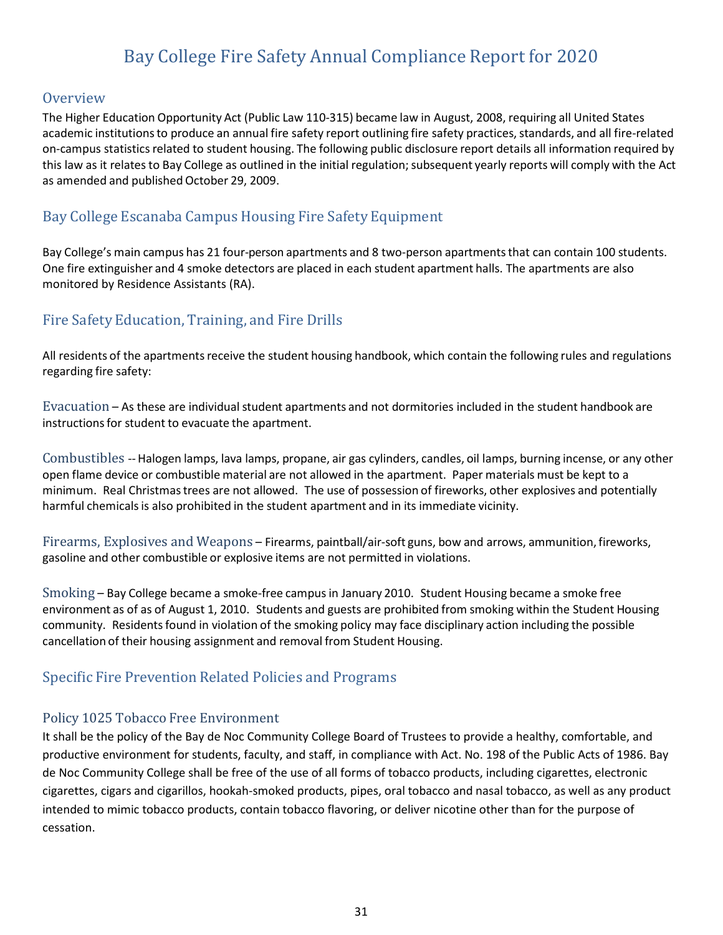## Bay College Fire Safety Annual Compliance Report for 2020

#### <span id="page-31-1"></span><span id="page-31-0"></span>**Overview**

The Higher Education Opportunity Act (Public Law 110-315) became law in August, 2008, requiring all United States academic institutions to produce an annual fire safety report outlining fire safety practices, standards, and all fire-related on-campus statisticsrelated to student housing. The following public disclosure report details all information required by this law as it relates to Bay College as outlined in the initial regulation; subsequent yearly reports will comply with the Act as amended and published October 29, 2009.

### <span id="page-31-2"></span>Bay College Escanaba Campus Housing Fire Safety Equipment

Bay College's main campus has 21 four-person apartments and 8 two-person apartmentsthat can contain 100 students. One fire extinguisher and 4 smoke detectors are placed in each student apartment halls. The apartments are also monitored by Residence Assistants (RA).

### <span id="page-31-3"></span>Fire Safety Education, Training, and Fire Drills

All residents of the apartments receive the student housing handbook, which contain the following rules and regulations regarding fire safety:

<span id="page-31-4"></span>Evacuation – As these are individual student apartments and not dormitories included in the student handbook are instructions for student to evacuate the apartment.

<span id="page-31-5"></span>Combustibles --Halogen lamps, lava lamps, propane, air gas cylinders, candles, oil lamps, burning incense, or any other open flame device or combustible material are not allowed in the apartment. Paper materials must be kept to a minimum. Real Christmastrees are not allowed. The use of possession of fireworks, other explosives and potentially harmful chemicalsis also prohibited in the student apartment and in its immediate vicinity.

<span id="page-31-6"></span>Firearms, Explosives and Weapons – Firearms, paintball/air-soft guns, bow and arrows, ammunition,fireworks, gasoline and other combustible or explosive items are not permitted in violations.

<span id="page-31-7"></span>Smoking – Bay College became a smoke-free campusin January 2010. Student Housing became a smoke free environment as of as of August 1, 2010. Students and guests are prohibited from smoking within the Student Housing community. Residentsfound in violation of the smoking policy may face disciplinary action including the possible cancellation of their housing assignment and removal from Student Housing.

### <span id="page-31-8"></span>Specific Fire Prevention Related Policies and Programs

#### <span id="page-31-9"></span>Policy 1025 Tobacco Free Environment

It shall be the policy of the Bay de Noc Community College Board of Trustees to provide a healthy, comfortable, and productive environment for students, faculty, and staff, in compliance with Act. No. 198 of the Public Acts of 1986. Bay de Noc Community College shall be free of the use of all forms of tobacco products, including cigarettes, electronic cigarettes, cigars and cigarillos, hookah-smoked products, pipes, oral tobacco and nasal tobacco, as well as any product intended to mimic tobacco products, contain tobacco flavoring, or deliver nicotine other than for the purpose of cessation.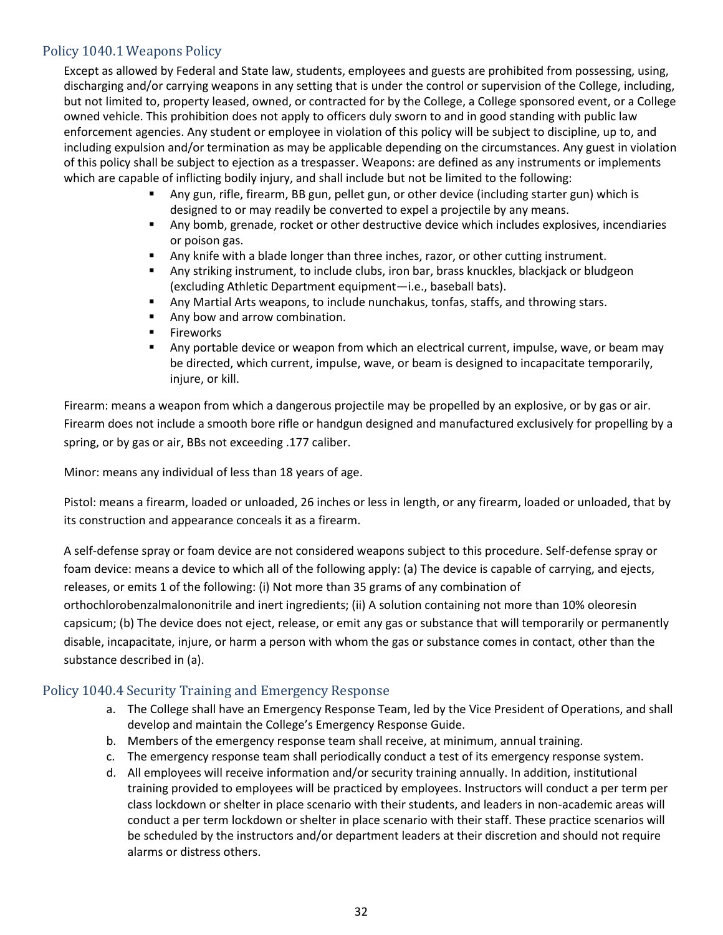### <span id="page-32-0"></span>Policy 1040.1 Weapons Policy

Except as allowed by Federal and State law, students, employees and guests are prohibited from possessing, using, discharging and/or carrying weapons in any setting that is under the control or supervision of the College, including, but not limited to, property leased, owned, or contracted for by the College, a College sponsored event, or a College owned vehicle. This prohibition does not apply to officers duly sworn to and in good standing with public law enforcement agencies. Any student or employee in violation of this policy will be subject to discipline, up to, and including expulsion and/or termination as may be applicable depending on the circumstances. Any guest in violation of this policy shall be subject to ejection as a trespasser. Weapons: are defined as any instruments or implements which are capable of inflicting bodily injury, and shall include but not be limited to the following:

- Any gun, rifle, firearm, BB gun, pellet gun, or other device (including starter gun) which is designed to or may readily be converted to expel a projectile by any means.
- Any bomb, grenade, rocket or other destructive device which includes explosives, incendiaries or poison gas.
- Any knife with a blade longer than three inches, razor, or other cutting instrument.
- **■** Any striking instrument, to include clubs, iron bar, brass knuckles, blackjack or bludgeon (excluding Athletic Department equipment—i.e., baseball bats).
- Any Martial Arts weapons, to include nunchakus, tonfas, staffs, and throwing stars.
- Any bow and arrow combination.
- Fireworks
- Any portable device or weapon from which an electrical current, impulse, wave, or beam may be directed, which current, impulse, wave, or beam is designed to incapacitate temporarily, injure, or kill.

Firearm: means a weapon from which a dangerous projectile may be propelled by an explosive, or by gas or air. Firearm does not include a smooth bore rifle or handgun designed and manufactured exclusively for propelling by a spring, or by gas or air, BBs not exceeding .177 caliber.

Minor: means any individual of less than 18 years of age.

Pistol: means a firearm, loaded or unloaded, 26 inches or less in length, or any firearm, loaded or unloaded, that by its construction and appearance conceals it as a firearm.

A self-defense spray or foam device are not considered weapons subject to this procedure. Self-defense spray or foam device: means a device to which all of the following apply: (a) The device is capable of carrying, and ejects, releases, or emits 1 of the following: (i) Not more than 35 grams of any combination of orthochlorobenzalmalononitrile and inert ingredients; (ii) A solution containing not more than 10% oleoresin capsicum; (b) The device does not eject, release, or emit any gas or substance that will temporarily or permanently disable, incapacitate, injure, or harm a person with whom the gas or substance comes in contact, other than the substance described in (a).

### <span id="page-32-1"></span>Policy 1040.4 Security Training and Emergency Response

- a. The College shall have an Emergency Response Team, led by the Vice President of Operations, and shall develop and maintain the College's Emergency Response Guide.
- b. Members of the emergency response team shall receive, at minimum, annual training.
- c. The emergency response team shall periodically conduct a test of its emergency response system.
- d. All employees will receive information and/or security training annually. In addition, institutional training provided to employees will be practiced by employees. Instructors will conduct a per term per class lockdown or shelter in place scenario with their students, and leaders in non-academic areas will conduct a per term lockdown or shelter in place scenario with their staff. These practice scenarios will be scheduled by the instructors and/or department leaders at their discretion and should not require alarms or distress others.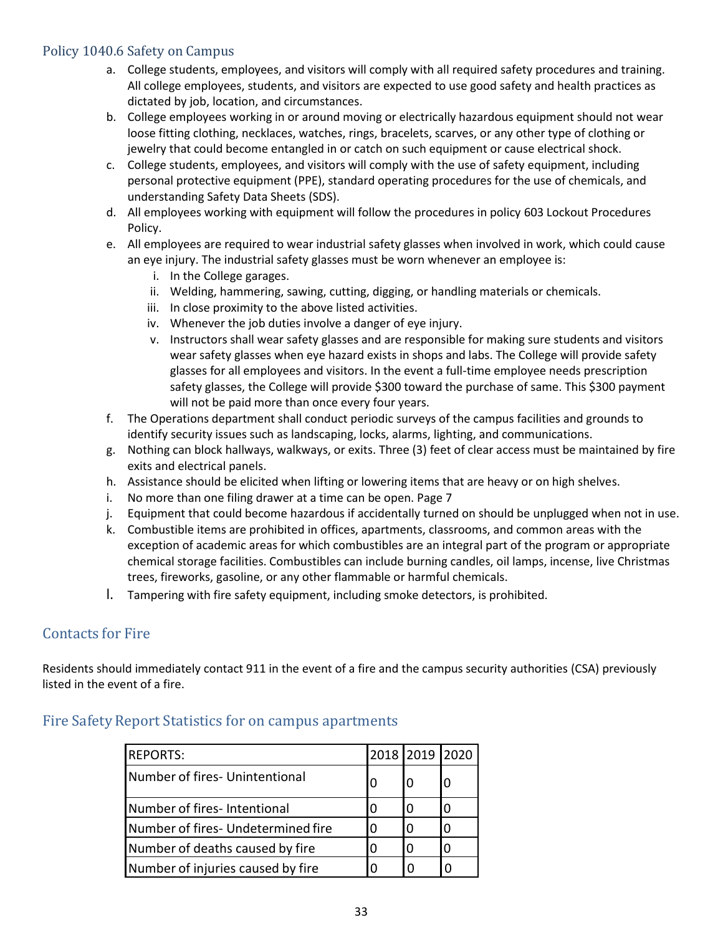### <span id="page-33-0"></span>Policy 1040.6 Safety on Campus

- a. College students, employees, and visitors will comply with all required safety procedures and training. All college employees, students, and visitors are expected to use good safety and health practices as dictated by job, location, and circumstances.
- b. College employees working in or around moving or electrically hazardous equipment should not wear loose fitting clothing, necklaces, watches, rings, bracelets, scarves, or any other type of clothing or jewelry that could become entangled in or catch on such equipment or cause electrical shock.
- c. College students, employees, and visitors will comply with the use of safety equipment, including personal protective equipment (PPE), standard operating procedures for the use of chemicals, and understanding Safety Data Sheets (SDS).
- d. All employees working with equipment will follow the procedures in policy 603 Lockout Procedures Policy.
- e. All employees are required to wear industrial safety glasses when involved in work, which could cause an eye injury. The industrial safety glasses must be worn whenever an employee is:
	- i. In the College garages.
	- ii. Welding, hammering, sawing, cutting, digging, or handling materials or chemicals.
	- iii. In close proximity to the above listed activities.
	- iv. Whenever the job duties involve a danger of eye injury.
	- v. Instructors shall wear safety glasses and are responsible for making sure students and visitors wear safety glasses when eye hazard exists in shops and labs. The College will provide safety glasses for all employees and visitors. In the event a full-time employee needs prescription safety glasses, the College will provide \$300 toward the purchase of same. This \$300 payment will not be paid more than once every four years.
- f. The Operations department shall conduct periodic surveys of the campus facilities and grounds to identify security issues such as landscaping, locks, alarms, lighting, and communications.
- g. Nothing can block hallways, walkways, or exits. Three (3) feet of clear access must be maintained by fire exits and electrical panels.
- h. Assistance should be elicited when lifting or lowering items that are heavy or on high shelves.
- i. No more than one filing drawer at a time can be open. Page 7
- j. Equipment that could become hazardous if accidentally turned on should be unplugged when not in use.
- k. Combustible items are prohibited in offices, apartments, classrooms, and common areas with the exception of academic areas for which combustibles are an integral part of the program or appropriate chemical storage facilities. Combustibles can include burning candles, oil lamps, incense, live Christmas trees, fireworks, gasoline, or any other flammable or harmful chemicals.
- l. Tampering with fire safety equipment, including smoke detectors, is prohibited.

### <span id="page-33-1"></span>Contacts for Fire

Residents should immediately contact 911 in the event of a fire and the campus security authorities (CSA) previously listed in the event of a fire.

### <span id="page-33-2"></span>Fire Safety Report Statistics for on campus apartments

| <b>REPORTS:</b>                    |   | 2018 2019 2020 |   |
|------------------------------------|---|----------------|---|
| Number of fires- Unintentional     |   |                |   |
| Number of fires-Intentional        | O | 0              | 0 |
| Number of fires- Undetermined fire |   |                | O |
| Number of deaths caused by fire    |   | 0              | O |
| Number of injuries caused by fire  |   |                |   |